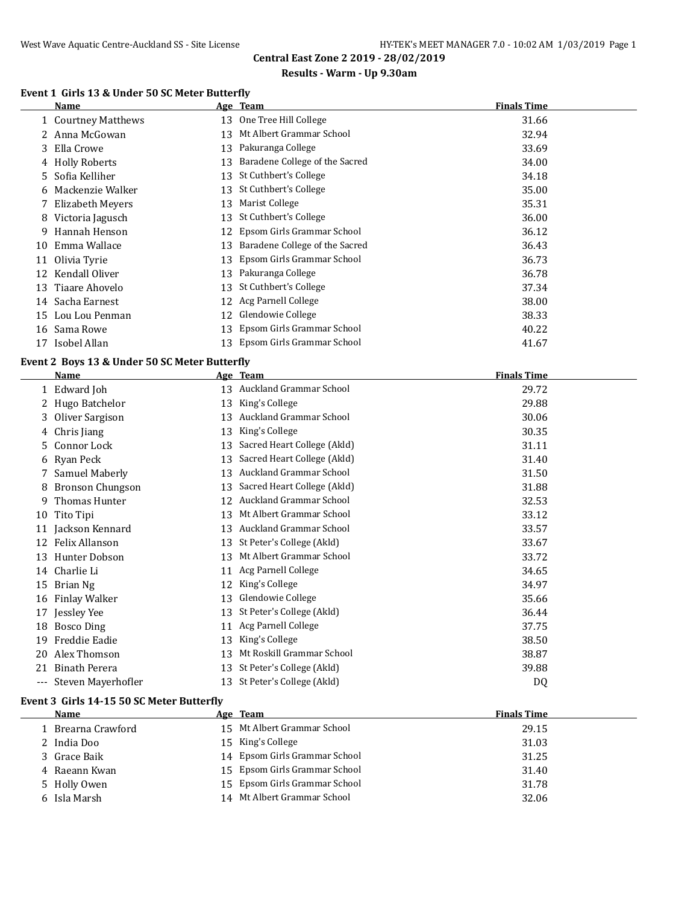#### **Results - Warm - Up 9.30am**

# **Event 1 Girls 13 & Under 50 SC Meter Butterfly**

|    | Name                |    | Age Team                       | <b>Finals Time</b> |
|----|---------------------|----|--------------------------------|--------------------|
|    | 1 Courtney Matthews | 13 | One Tree Hill College          | 31.66              |
|    | 2 Anna McGowan      | 13 | Mt Albert Grammar School       | 32.94              |
|    | 3 Ella Crowe        | 13 | Pakuranga College              | 33.69              |
|    | 4 Holly Roberts     | 13 | Baradene College of the Sacred | 34.00              |
|    | 5 Sofia Kelliher    | 13 | St Cuthbert's College          | 34.18              |
|    | 6 Mackenzie Walker  | 13 | St Cuthbert's College          | 35.00              |
|    | 7 Elizabeth Meyers  | 13 | Marist College                 | 35.31              |
| 8  | Victoria Jagusch    | 13 | St Cuthbert's College          | 36.00              |
| 9. | Hannah Henson       | 12 | Epsom Girls Grammar School     | 36.12              |
| 10 | Emma Wallace        | 13 | Baradene College of the Sacred | 36.43              |
| 11 | Olivia Tyrie        | 13 | Epsom Girls Grammar School     | 36.73              |
| 12 | Kendall Oliver      | 13 | Pakuranga College              | 36.78              |
| 13 | Tiaare Ahovelo      | 13 | St Cuthbert's College          | 37.34              |
| 14 | Sacha Earnest       | 12 | Acg Parnell College            | 38.00              |
| 15 | Lou Lou Penman      | 12 | Glendowie College              | 38.33              |
| 16 | Sama Rowe           | 13 | Epsom Girls Grammar School     | 40.22              |
| 17 | Isobel Allan        | 13 | Epsom Girls Grammar School     | 41.67              |

#### **Event 2 Boys 13 & Under 50 SC Meter Butterfly**

|     | <b>Name</b>             |    | Age Team                       | <b>Finals Time</b> |
|-----|-------------------------|----|--------------------------------|--------------------|
|     | 1 Edward Joh            | 13 | Auckland Grammar School        | 29.72              |
|     | 2 Hugo Batchelor        | 13 | King's College                 | 29.88              |
| 3.  | Oliver Sargison         | 13 | Auckland Grammar School        | 30.06              |
| 4   | Chris Jiang             | 13 | King's College                 | 30.35              |
| 5.  | Connor Lock             | 13 | Sacred Heart College (Akld)    | 31.11              |
| 6   | Ryan Peck               | 13 | Sacred Heart College (Akld)    | 31.40              |
|     | Samuel Maberly          | 13 | Auckland Grammar School        | 31.50              |
| 8   | <b>Bronson Chungson</b> | 13 | Sacred Heart College (Akld)    | 31.88              |
| 9   | Thomas Hunter           | 12 | <b>Auckland Grammar School</b> | 32.53              |
| 10  | Tito Tipi               | 13 | Mt Albert Grammar School       | 33.12              |
| 11  | Jackson Kennard         | 13 | Auckland Grammar School        | 33.57              |
| 12  | <b>Felix Allanson</b>   | 13 | St Peter's College (Akld)      | 33.67              |
| 13  | Hunter Dobson           | 13 | Mt Albert Grammar School       | 33.72              |
| 14  | Charlie Li              | 11 | Acg Parnell College            | 34.65              |
| 15  | Brian Ng                | 12 | King's College                 | 34.97              |
| 16  | Finlay Walker           | 13 | Glendowie College              | 35.66              |
| 17  | Jessley Yee             | 13 | St Peter's College (Akld)      | 36.44              |
| 18  | <b>Bosco Ding</b>       | 11 | Acg Parnell College            | 37.75              |
| 19  | Freddie Eadie           | 13 | King's College                 | 38.50              |
| 20  | Alex Thomson            | 13 | Mt Roskill Grammar School      | 38.87              |
| 21  | Binath Perera           | 13 | St Peter's College (Akld)      | 39.88              |
| --- | Steven Mayerhofler      | 13 | St Peter's College (Akld)      | D <sub>0</sub>     |

#### **Event 3 Girls 14-15 50 SC Meter Butterfly**

| <b>Name</b>        | Age Team                      | <b>Finals Time</b> |
|--------------------|-------------------------------|--------------------|
| 1 Brearna Crawford | 15 Mt Albert Grammar School   | 29.15              |
| 2 India Doo        | 15 King's College             | 31.03              |
| 3 Grace Baik       | 14 Epsom Girls Grammar School | 31.25              |
| 4 Raeann Kwan      | 15 Epsom Girls Grammar School | 31.40              |
| 5 Holly Owen       | 15 Epsom Girls Grammar School | 31.78              |
| 6 Isla Marsh       | 14 Mt Albert Grammar School   | 32.06              |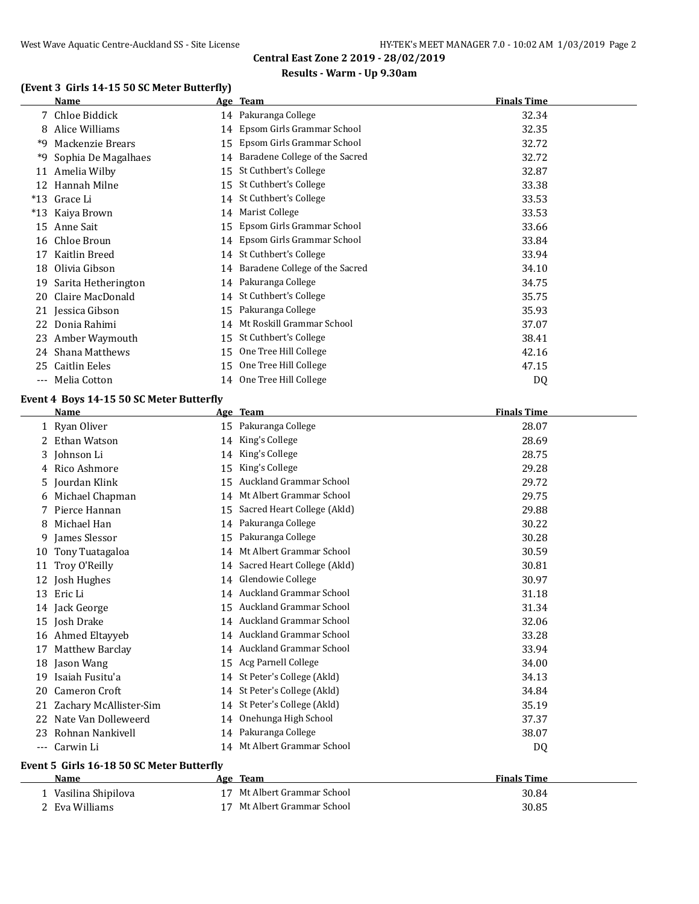# **Results - Warm - Up 9.30am**

# **(Event 3 Girls 14-15 50 SC Meter Butterfly)**

|       | Name                |    | Age Team                       | <b>Finals Time</b> |
|-------|---------------------|----|--------------------------------|--------------------|
|       | 7 Chloe Biddick     |    | 14 Pakuranga College           | 32.34              |
| 8     | Alice Williams      | 14 | Epsom Girls Grammar School     | 32.35              |
| *9    | Mackenzie Brears    | 15 | Epsom Girls Grammar School     | 32.72              |
| *9    | Sophia De Magalhaes | 14 | Baradene College of the Sacred | 32.72              |
| 11    | Amelia Wilby        | 15 | St Cuthbert's College          | 32.87              |
| 12    | Hannah Milne        | 15 | St Cuthbert's College          | 33.38              |
| $*13$ | Grace Li            | 14 | St Cuthbert's College          | 33.53              |
| $*13$ | Kaiya Brown         | 14 | Marist College                 | 33.53              |
| 15    | Anne Sait           | 15 | Epsom Girls Grammar School     | 33.66              |
| 16    | Chloe Broun         |    | 14 Epsom Girls Grammar School  | 33.84              |
| 17    | Kaitlin Breed       | 14 | St Cuthbert's College          | 33.94              |
| 18    | Olivia Gibson       | 14 | Baradene College of the Sacred | 34.10              |
| 19    | Sarita Hetherington |    | 14 Pakuranga College           | 34.75              |
| 20    | Claire MacDonald    |    | 14 St Cuthbert's College       | 35.75              |
|       | 21 Jessica Gibson   | 15 | Pakuranga College              | 35.93              |
| 22    | Donia Rahimi        | 14 | Mt Roskill Grammar School      | 37.07              |
| 23    | Amber Waymouth      | 15 | St Cuthbert's College          | 38.41              |
| 24    | Shana Matthews      | 15 | One Tree Hill College          | 42.16              |
| 25    | Caitlin Eeles       | 15 | One Tree Hill College          | 47.15              |
| ---   | Melia Cotton        |    | 14 One Tree Hill College       | D <sub>0</sub>     |

# **Event 4 Boys 14-15 50 SC Meter Butterfly**

|       | <b>Name</b>                               |    | Age Team                       | <b>Finals Time</b> |
|-------|-------------------------------------------|----|--------------------------------|--------------------|
|       | 1 Ryan Oliver                             |    | 15 Pakuranga College           | 28.07              |
|       | 2 Ethan Watson                            | 14 | King's College                 | 28.69              |
|       | 3 Johnson Li                              | 14 | King's College                 | 28.75              |
|       | 4 Rico Ashmore                            | 15 | King's College                 | 29.28              |
|       | 5 Jourdan Klink                           | 15 | <b>Auckland Grammar School</b> | 29.72              |
| 6     | Michael Chapman                           | 14 | Mt Albert Grammar School       | 29.75              |
|       | Pierce Hannan                             | 15 | Sacred Heart College (Akld)    | 29.88              |
| 8     | Michael Han                               | 14 | Pakuranga College              | 30.22              |
| 9     | James Slessor                             | 15 | Pakuranga College              | 30.28              |
| 10    | Tony Tuatagaloa                           | 14 | Mt Albert Grammar School       | 30.59              |
| 11    | Troy O'Reilly                             |    | 14 Sacred Heart College (Akld) | 30.81              |
| 12    | Josh Hughes                               |    | 14 Glendowie College           | 30.97              |
| 13    | Eric Li                                   | 14 | <b>Auckland Grammar School</b> | 31.18              |
|       | 14 Jack George                            | 15 | Auckland Grammar School        | 31.34              |
| 15    | Josh Drake                                |    | 14 Auckland Grammar School     | 32.06              |
| 16    | Ahmed Eltayyeb                            |    | 14 Auckland Grammar School     | 33.28              |
| 17    | Matthew Barclay                           |    | 14 Auckland Grammar School     | 33.94              |
| 18    | Jason Wang                                | 15 | Acg Parnell College            | 34.00              |
| 19    | Isaiah Fusitu'a                           |    | 14 St Peter's College (Akld)   | 34.13              |
| 20    | <b>Cameron Croft</b>                      |    | 14 St Peter's College (Akld)   | 34.84              |
| 21    | Zachary McAllister-Sim                    |    | 14 St Peter's College (Akld)   | 35.19              |
| 22    | Nate Van Dolleweerd                       |    | 14 Onehunga High School        | 37.37              |
| 23    | Rohnan Nankivell                          |    | 14 Pakuranga College           | 38.07              |
| $---$ | Carwin Li                                 | 14 | Mt Albert Grammar School       | DQ                 |
|       | Event 5 Girls 16-18 50 SC Meter Butterfly |    |                                |                    |
|       | Name                                      |    | Age Team                       | <b>Finals Time</b> |

| Vasilina Shipilova | 17 Mt Albert Grammar School | 30.84 |
|--------------------|-----------------------------|-------|
| 2 Eva Williams     | 17 Mt Albert Grammar School | 30.85 |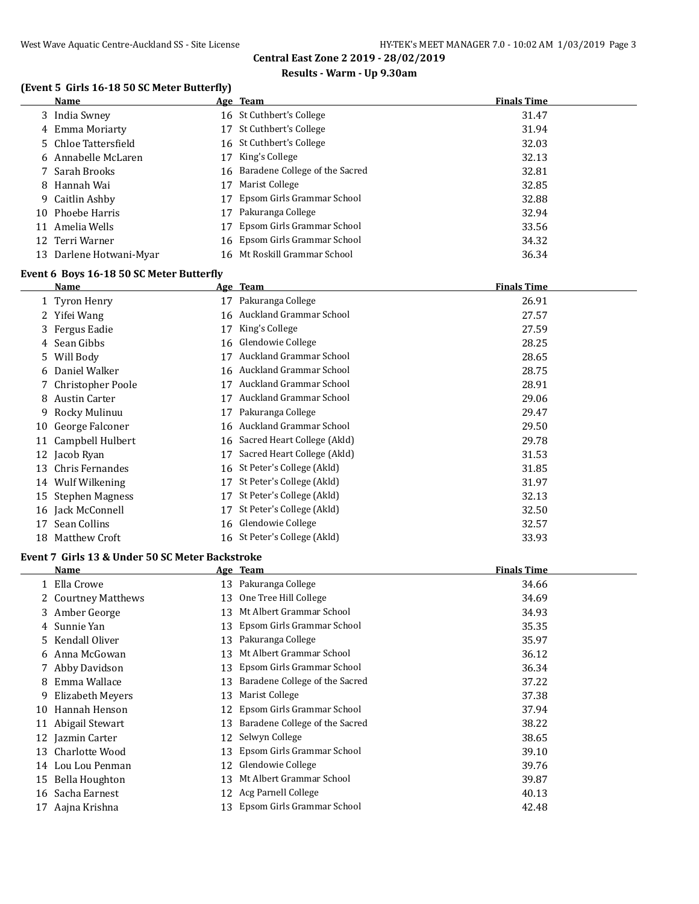# **Results - Warm - Up 9.30am**

# **(Event 5 Girls 16-18 50 SC Meter Butterfly)**

|    | <b>Name</b>             |    | Age Team                          | <b>Finals Time</b> |
|----|-------------------------|----|-----------------------------------|--------------------|
|    | 3 India Swney           |    | 16 St Cuthbert's College          | 31.47              |
|    | 4 Emma Moriarty         |    | 17 St Cuthbert's College          | 31.94              |
|    | 5 Chloe Tattersfield    |    | 16 St Cuthbert's College          | 32.03              |
|    | 6 Annabelle McLaren     | 17 | King's College                    | 32.13              |
|    | 7 Sarah Brooks          |    | 16 Baradene College of the Sacred | 32.81              |
|    | 8 Hannah Wai            | 17 | Marist College                    | 32.85              |
|    | 9 Caitlin Ashby         | 17 | Epsom Girls Grammar School        | 32.88              |
|    | 10 Phoebe Harris        | 17 | Pakuranga College                 | 32.94              |
| 11 | Amelia Wells            |    | Epsom Girls Grammar School        | 33.56              |
|    | 12 Terri Warner         |    | 16 Epsom Girls Grammar School     | 34.32              |
|    | 13 Darlene Hotwani-Myar |    | 16 Mt Roskill Grammar School      | 36.34              |

# **Event 6 Boys 16-18 50 SC Meter Butterfly**

|    | Name                 |     | Age Team                       | <b>Finals Time</b> |
|----|----------------------|-----|--------------------------------|--------------------|
|    | 1 Tyron Henry        | 17  | Pakuranga College              | 26.91              |
| 2  | Yifei Wang           | 16  | Auckland Grammar School        | 27.57              |
|    | 3 Fergus Eadie       | 17  | King's College                 | 27.59              |
|    | 4 Sean Gibbs         | 16  | Glendowie College              | 28.25              |
|    | 5 Will Body          | 17  | Auckland Grammar School        | 28.65              |
|    | 6 Daniel Walker      | 16  | Auckland Grammar School        | 28.75              |
|    | 7 Christopher Poole  |     | <b>Auckland Grammar School</b> | 28.91              |
| 8  | Austin Carter        |     | Auckland Grammar School        | 29.06              |
| 9. | Rocky Mulinuu        | 17  | Pakuranga College              | 29.47              |
| 10 | George Falconer      | 16. | Auckland Grammar School        | 29.50              |
| 11 | Campbell Hulbert     | 16  | Sacred Heart College (Akld)    | 29.78              |
|    | 12 Jacob Ryan        | 17  | Sacred Heart College (Akld)    | 31.53              |
| 13 | Chris Fernandes      | 16  | St Peter's College (Akld)      | 31.85              |
| 14 | Wulf Wilkening       | 17  | St Peter's College (Akld)      | 31.97              |
| 15 | Stephen Magness      | 17  | St Peter's College (Akld)      | 32.13              |
|    | 16 Jack McConnell    | 17  | St Peter's College (Akld)      | 32.50              |
| 17 | Sean Collins         |     | 16 Glendowie College           | 32.57              |
| 18 | <b>Matthew Croft</b> |     | 16 St Peter's College (Akld)   | 33.93              |

#### **Event 7 Girls 13 & Under 50 SC Meter Backstroke**

|    | Name                |    | Age Team                       | <b>Finals Time</b> |
|----|---------------------|----|--------------------------------|--------------------|
|    | 1 Ella Crowe        | 13 | Pakuranga College              | 34.66              |
|    | 2 Courtney Matthews | 13 | One Tree Hill College          | 34.69              |
|    | 3 Amber George      | 13 | Mt Albert Grammar School       | 34.93              |
|    | 4 Sunnie Yan        | 13 | Epsom Girls Grammar School     | 35.35              |
|    | 5 Kendall Oliver    | 13 | Pakuranga College              | 35.97              |
|    | 6 Anna McGowan      | 13 | Mt Albert Grammar School       | 36.12              |
|    | 7 Abby Davidson     | 13 | Epsom Girls Grammar School     | 36.34              |
| 8  | Emma Wallace        | 13 | Baradene College of the Sacred | 37.22              |
| 9  | Elizabeth Meyers    | 13 | Marist College                 | 37.38              |
| 10 | Hannah Henson       | 12 | Epsom Girls Grammar School     | 37.94              |
| 11 | Abigail Stewart     | 13 | Baradene College of the Sacred | 38.22              |
|    | 12 Jazmin Carter    | 12 | Selwyn College                 | 38.65              |
| 13 | Charlotte Wood      | 13 | Epsom Girls Grammar School     | 39.10              |
| 14 | Lou Lou Penman      | 12 | Glendowie College              | 39.76              |
|    | 15 Bella Houghton   | 13 | Mt Albert Grammar School       | 39.87              |
| 16 | Sacha Earnest       | 12 | Acg Parnell College            | 40.13              |
|    | 17 Aajna Krishna    | 13 | Epsom Girls Grammar School     | 42.48              |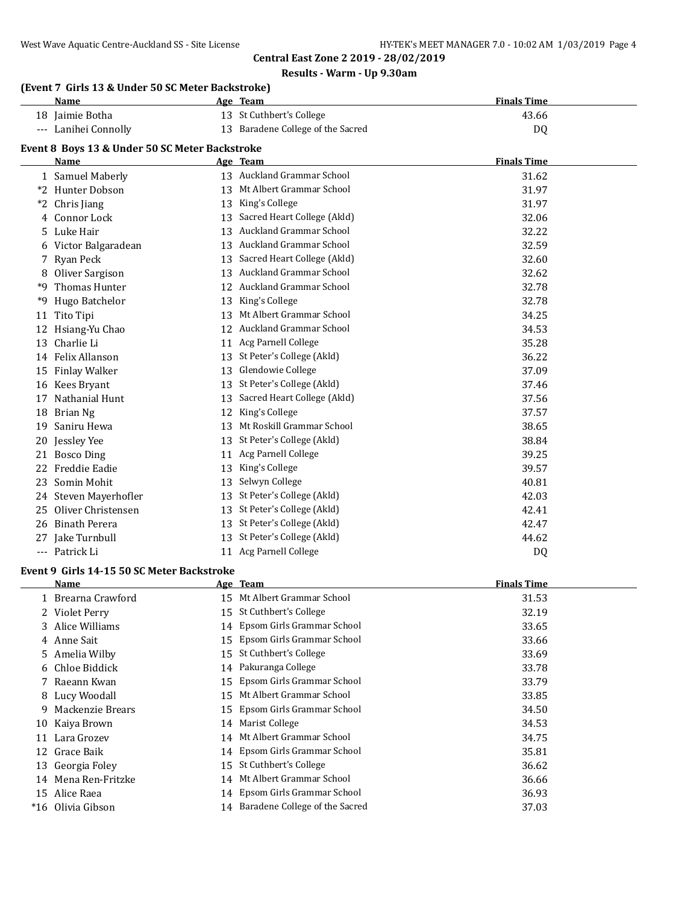#### **Results - Warm - Up 9.30am**

|      | (Event 7 Girls 13 & Under 50 SC Meter Backstroke) |    |                                   |                    |  |
|------|---------------------------------------------------|----|-----------------------------------|--------------------|--|
|      | <b>Name</b>                                       |    | Age Team                          | <b>Finals Time</b> |  |
|      | 18 Jaimie Botha                                   |    | 13 St Cuthbert's College          | 43.66              |  |
|      | --- Lanihei Connolly                              |    | 13 Baradene College of the Sacred | DQ                 |  |
|      | Event 8 Boys 13 & Under 50 SC Meter Backstroke    |    |                                   |                    |  |
|      | Name                                              |    | Age Team                          | <b>Finals Time</b> |  |
|      | 1 Samuel Maberly                                  |    | 13 Auckland Grammar School        | 31.62              |  |
|      | *2 Hunter Dobson                                  |    | 13 Mt Albert Grammar School       | 31.97              |  |
| $*2$ | Chris Jiang                                       |    | 13 King's College                 | 31.97              |  |
| 4    | Connor Lock                                       |    | 13 Sacred Heart College (Akld)    | 32.06              |  |
| 5.   | Luke Hair                                         |    | 13 Auckland Grammar School        | 32.22              |  |
| 6    | Victor Balgaradean                                |    | 13 Auckland Grammar School        | 32.59              |  |
| 7    | <b>Ryan Peck</b>                                  | 13 | Sacred Heart College (Akld)       | 32.60              |  |
| 8    | Oliver Sargison                                   |    | 13 Auckland Grammar School        | 32.62              |  |
| *9   | <b>Thomas Hunter</b>                              |    | 12 Auckland Grammar School        | 32.78              |  |
| *9   | Hugo Batchelor                                    |    | 13 King's College                 | 32.78              |  |
| 11   | Tito Tipi                                         |    | 13 Mt Albert Grammar School       | 34.25              |  |
| 12   | Hsiang-Yu Chao                                    |    | 12 Auckland Grammar School        | 34.53              |  |
| 13   | Charlie Li                                        |    | 11 Acg Parnell College            | 35.28              |  |
| 14   | Felix Allanson                                    |    | 13 St Peter's College (Akld)      | 36.22              |  |
| 15   | <b>Finlay Walker</b>                              | 13 | Glendowie College                 | 37.09              |  |
| 16   | Kees Bryant                                       | 13 | St Peter's College (Akld)         | 37.46              |  |
| 17   | Nathanial Hunt                                    | 13 | Sacred Heart College (Akld)       | 37.56              |  |
| 18   | Brian Ng                                          | 12 | King's College                    | 37.57              |  |
| 19   | Saniru Hewa                                       |    | 13 Mt Roskill Grammar School      | 38.65              |  |
| 20   | Jessley Yee                                       | 13 | St Peter's College (Akld)         | 38.84              |  |
| 21   | <b>Bosco Ding</b>                                 | 11 | <b>Acg Parnell College</b>        | 39.25              |  |
| 22   | Freddie Eadie                                     | 13 | King's College                    | 39.57              |  |
| 23   | Somin Mohit                                       | 13 | Selwyn College                    | 40.81              |  |
| 24   | Steven Mayerhofler                                |    | 13 St Peter's College (Akld)      | 42.03              |  |
| 25   | Oliver Christensen                                | 13 | St Peter's College (Akld)         | 42.41              |  |
| 26   | <b>Binath Perera</b>                              |    | 13 St Peter's College (Akld)      | 42.47              |  |
|      | 27 Jake Turnbull                                  |    | 13 St Peter's College (Akld)      | 44.62              |  |

### --- Patrick Li 11 Acg Parnell College DQ

# **Event 9 Girls 14-15 50 SC Meter Backstroke**

|       | Name               |     | Age Team                          | <b>Finals Time</b> |
|-------|--------------------|-----|-----------------------------------|--------------------|
|       | 1 Brearna Crawford |     | 15 Mt Albert Grammar School       | 31.53              |
|       | 2 Violet Perry     | 15  | St Cuthbert's College             | 32.19              |
|       | 3 Alice Williams   |     | 14 Epsom Girls Grammar School     | 33.65              |
|       | 4 Anne Sait        |     | 15 Epsom Girls Grammar School     | 33.66              |
|       | 5 Amelia Wilby     | 15  | St Cuthbert's College             | 33.69              |
|       | 6 Chloe Biddick    |     | 14 Pakuranga College              | 33.78              |
|       | 7 Raeann Kwan      |     | 15 Epsom Girls Grammar School     | 33.79              |
|       | 8 Lucy Woodall     | 15. | Mt Albert Grammar School          | 33.85              |
| 9.    | Mackenzie Brears   | 15  | Epsom Girls Grammar School        | 34.50              |
|       | 10 Kaiya Brown     |     | 14 Marist College                 | 34.53              |
| 11    | Lara Grozev        |     | 14 Mt Albert Grammar School       | 34.75              |
| 12    | Grace Baik         |     | 14 Epsom Girls Grammar School     | 35.81              |
|       | 13 Georgia Foley   |     | 15 St Cuthbert's College          | 36.62              |
| 14    | Mena Ren-Fritzke   | 14  | Mt Albert Grammar School          | 36.66              |
|       | 15 Alice Raea      |     | 14 Epsom Girls Grammar School     | 36.93              |
| $*16$ | Olivia Gibson      |     | 14 Baradene College of the Sacred | 37.03              |
|       |                    |     |                                   |                    |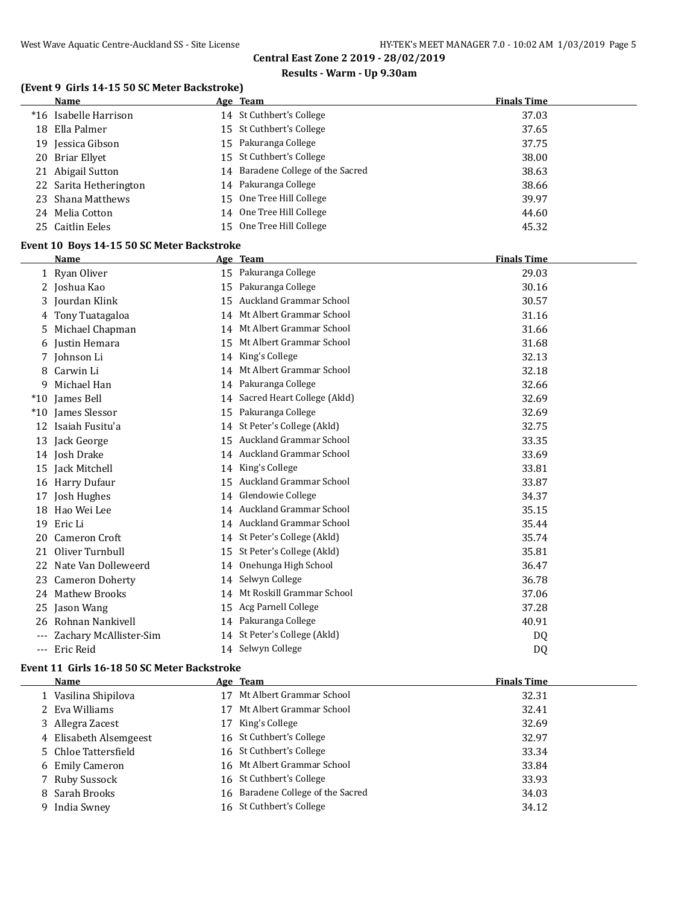# **Results - Warm - Up 9.30am**

# **(Event 9 Girls 14-15 50 SC Meter Backstroke)**

|    | Name                                       | Age Team                          | <b>Finals Time</b> |  |
|----|--------------------------------------------|-----------------------------------|--------------------|--|
|    | *16 Isabelle Harrison                      | 14 St Cuthbert's College          | 37.03              |  |
|    | 18 Ella Palmer                             | 15 St Cuthbert's College          | 37.65              |  |
|    | 19 Jessica Gibson                          | 15 Pakuranga College              | 37.75              |  |
|    | 20 Briar Ellyet                            | 15 St Cuthbert's College          | 38.00              |  |
|    | 21 Abigail Sutton                          | 14 Baradene College of the Sacred | 38.63              |  |
|    | 22 Sarita Hetherington                     | 14 Pakuranga College              | 38.66              |  |
| 23 | Shana Matthews                             | 15 One Tree Hill College          | 39.97              |  |
|    | 24 Melia Cotton                            | 14 One Tree Hill College          | 44.60              |  |
|    | 25 Caitlin Eeles                           | 15 One Tree Hill College          | 45.32              |  |
|    | Event 10 Boys 14-15 50 SC Meter Backstroke |                                   |                    |  |
|    | Name                                       | Age Team                          | <b>Finals Time</b> |  |
|    | 1 Ryan Oliver                              | 15 Pakuranga College              | 29.03              |  |
|    | 2 Joshua Kao                               | 15 Pakuranga College              | 30.16              |  |
| 3  | Jourdan Klink                              | 15 Auckland Grammar School        | 30.57              |  |
| 4  | Tony Tuatagaloa                            | 14 Mt Albert Grammar School       | 31.16              |  |
| 5  | Michael Chapman                            | 14 Mt Albert Grammar School       | 31.66              |  |
|    | 6 Justin Hemara                            | 15 Mt Albert Grammar School       | 31.68              |  |
|    | 7 Johnson Li                               | 14 King's College                 | 32.13              |  |
|    | 8 Carwin Li                                | 14 Mt Albert Grammar School       | 32.18              |  |
| 9  | Michael Han                                | 14 Pakuranga College              | 32.66              |  |
|    | *10 James Bell                             | 14 Sacred Heart College (Akld)    | 32.69              |  |
|    | *10 James Slessor                          | 15 Pakuranga College              | 32.69              |  |
|    | 12 Isaiah Fusitu'a                         | 14 St Peter's College (Akld)      | 32.75              |  |
|    | 13 Jack George                             | 15 Auckland Grammar School        | 33.35              |  |
|    | 14 Josh Drake                              | 14 Auckland Grammar School        | 33.69              |  |
|    | 15 Jack Mitchell                           | 14 King's College                 | 33.81              |  |
|    | 16 Harry Dufaur                            | 15 Auckland Grammar School        | 33.87              |  |
|    | 17 Josh Hughes                             | 14 Glendowie College              | 34.37              |  |
|    | 18 Hao Wei Lee                             | 14 Auckland Grammar School        | 35.15              |  |
|    | 19 Eric Li                                 | 14 Auckland Grammar School        | 35.44              |  |
|    | 20 Cameron Croft                           | 14 St Peter's College (Akld)      | 35.74              |  |
|    | 21 Oliver Turnbull                         | 15 St Peter's College (Akld)      | 35.81              |  |
|    | 22 Nate Van Dolleweerd                     | 14 Onehunga High School           | 36.47              |  |
|    | 23 Cameron Doherty                         | 14 Selwyn College                 | 36.78              |  |
|    | 24 Mathew Brooks                           | 14 Mt Roskill Grammar School      | 37.06              |  |
|    | 25 Jason Wang                              | 15 Acg Parnell College            | 37.28              |  |
|    | 26 Rohnan Nankivell                        | 14 Pakuranga College              | 40.91              |  |
|    | --- Zachary McAllister-Sim                 | 14 St Peter's College (Akld)      | DQ                 |  |
|    | --- Eric Reid                              | 14 Selwyn College                 | DQ                 |  |

# **Event 11 Girls 16-18 50 SC Meter Backstroke**

 $\overline{a}$ 

| Name                   |    | Age Team                       | <b>Finals Time</b> |
|------------------------|----|--------------------------------|--------------------|
| Vasilina Shipilova     | 17 | Mt Albert Grammar School       | 32.31              |
| 2 Eva Williams         | 17 | Mt Albert Grammar School       | 32.41              |
| 3 Allegra Zacest       | 17 | King's College                 | 32.69              |
| 4 Elisabeth Alsemgeest |    | 16 St Cuthbert's College       | 32.97              |
| 5 Chloe Tattersfield   |    | 16 St Cuthbert's College       | 33.34              |
| 6 Emily Cameron        |    | 16 Mt Albert Grammar School    | 33.84              |
| 7 Ruby Sussock         |    | 16 St Cuthbert's College       | 33.93              |
| 8 Sarah Brooks         | 16 | Baradene College of the Sacred | 34.03              |
| India Swney            | 16 | St Cuthbert's College          | 34.12              |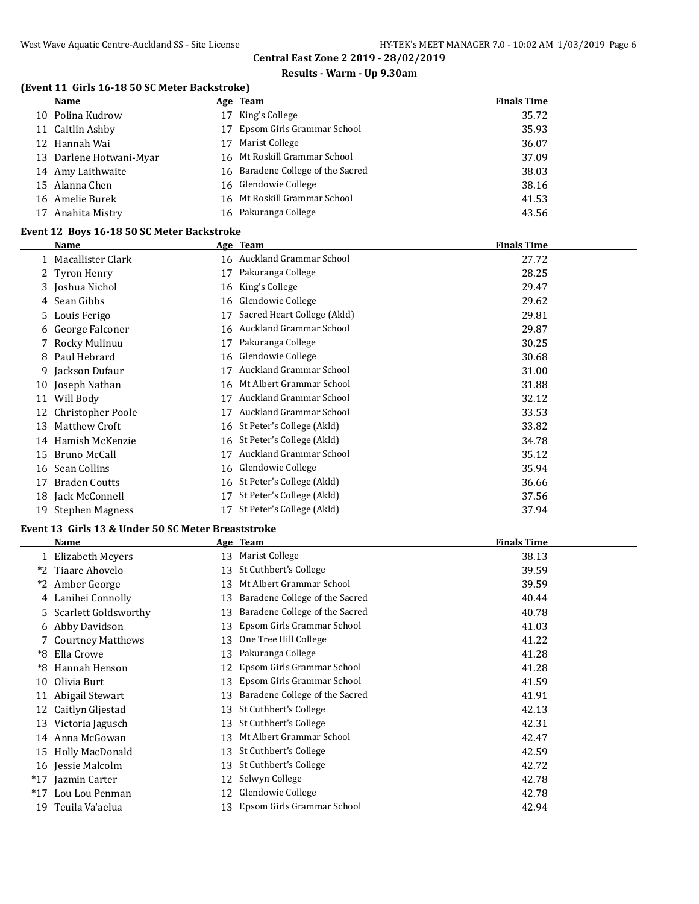### **Results - Warm - Up 9.30am**

# **(Event 11 Girls 16-18 50 SC Meter Backstroke)**

| Name                    | Age Team                          | <b>Finals Time</b> |
|-------------------------|-----------------------------------|--------------------|
| Polina Kudrow<br>10.    | King's College<br>17              | 35.72              |
| 11 Caitlin Ashby        | Epsom Girls Grammar School<br>17  | 35.93              |
| 12 Hannah Wai           | Marist College<br>17              | 36.07              |
| 13 Darlene Hotwani-Myar | 16 Mt Roskill Grammar School      | 37.09              |
| 14 Amy Laithwaite       | 16 Baradene College of the Sacred | 38.03              |
| 15 Alanna Chen          | 16 Glendowie College              | 38.16              |
| 16 Amelie Burek         | 16 Mt Roskill Grammar School      | 41.53              |
| Anahita Mistry          | Pakuranga College<br>16           | 43.56              |

#### **Event 12 Boys 16-18 50 SC Meter Backstroke**

|    | <b>Name</b>          |    | Age Team                    | <b>Finals Time</b> |
|----|----------------------|----|-----------------------------|--------------------|
|    | Macallister Clark    |    | 16 Auckland Grammar School  | 27.72              |
|    | 2 Tyron Henry        | 17 | Pakuranga College           | 28.25              |
|    | 3 Joshua Nichol      | 16 | King's College              | 29.47              |
|    | 4 Sean Gibbs         | 16 | Glendowie College           | 29.62              |
| 5  | Louis Ferigo         | 17 | Sacred Heart College (Akld) | 29.81              |
|    | 6 George Falconer    | 16 | Auckland Grammar School     | 29.87              |
|    | Rocky Mulinuu        | 17 | Pakuranga College           | 30.25              |
| 8  | Paul Hebrard         | 16 | Glendowie College           | 30.68              |
| 9  | Jackson Dufaur       | 17 | Auckland Grammar School     | 31.00              |
| 10 | Joseph Nathan        | 16 | Mt Albert Grammar School    | 31.88              |
| 11 | Will Body            | 17 | Auckland Grammar School     | 32.12              |
| 12 | Christopher Poole    | 17 | Auckland Grammar School     | 33.53              |
| 13 | Matthew Croft        | 16 | St Peter's College (Akld)   | 33.82              |
| 14 | Hamish McKenzie      | 16 | St Peter's College (Akld)   | 34.78              |
| 15 | Bruno McCall         | 17 | Auckland Grammar School     | 35.12              |
| 16 | Sean Collins         | 16 | Glendowie College           | 35.94              |
| 17 | <b>Braden Coutts</b> | 16 | St Peter's College (Akld)   | 36.66              |
| 18 | Jack McConnell       | 17 | St Peter's College (Akld)   | 37.56              |
| 19 | Stephen Magness      | 17 | St Peter's College (Akld)   | 37.94              |

#### **Event 13 Girls 13 & Under 50 SC Meter Breaststroke**

|       | <b>Name</b>          |    | Age Team                       | <b>Finals Time</b> |
|-------|----------------------|----|--------------------------------|--------------------|
|       | 1 Elizabeth Meyers   | 13 | Marist College                 | 38.13              |
| $*2$  | Tiaare Ahovelo       | 13 | St Cuthbert's College          | 39.59              |
| *2    | Amber George         | 13 | Mt Albert Grammar School       | 39.59              |
|       | 4 Lanihei Connolly   | 13 | Baradene College of the Sacred | 40.44              |
| 5.    | Scarlett Goldsworthy | 13 | Baradene College of the Sacred | 40.78              |
|       | 6 Abby Davidson      | 13 | Epsom Girls Grammar School     | 41.03              |
|       | 7 Courtney Matthews  | 13 | One Tree Hill College          | 41.22              |
| *8    | Ella Crowe           | 13 | Pakuranga College              | 41.28              |
| *8    | Hannah Henson        | 12 | Epsom Girls Grammar School     | 41.28              |
| 10    | Olivia Burt          | 13 | Epsom Girls Grammar School     | 41.59              |
| 11    | Abigail Stewart      | 13 | Baradene College of the Sacred | 41.91              |
| 12    | Caitlyn Gljestad     | 13 | St Cuthbert's College          | 42.13              |
| 13    | Victoria Jagusch     | 13 | St Cuthbert's College          | 42.31              |
| 14    | Anna McGowan         | 13 | Mt Albert Grammar School       | 42.47              |
| 15    | Holly MacDonald      | 13 | St Cuthbert's College          | 42.59              |
|       | 16 Jessie Malcolm    | 13 | St Cuthbert's College          | 42.72              |
| $*17$ | Jazmin Carter        | 12 | Selwyn College                 | 42.78              |
| $*17$ | Lou Lou Penman       | 12 | Glendowie College              | 42.78              |
| 19    | Teuila Va'aelua      | 13 | Epsom Girls Grammar School     | 42.94              |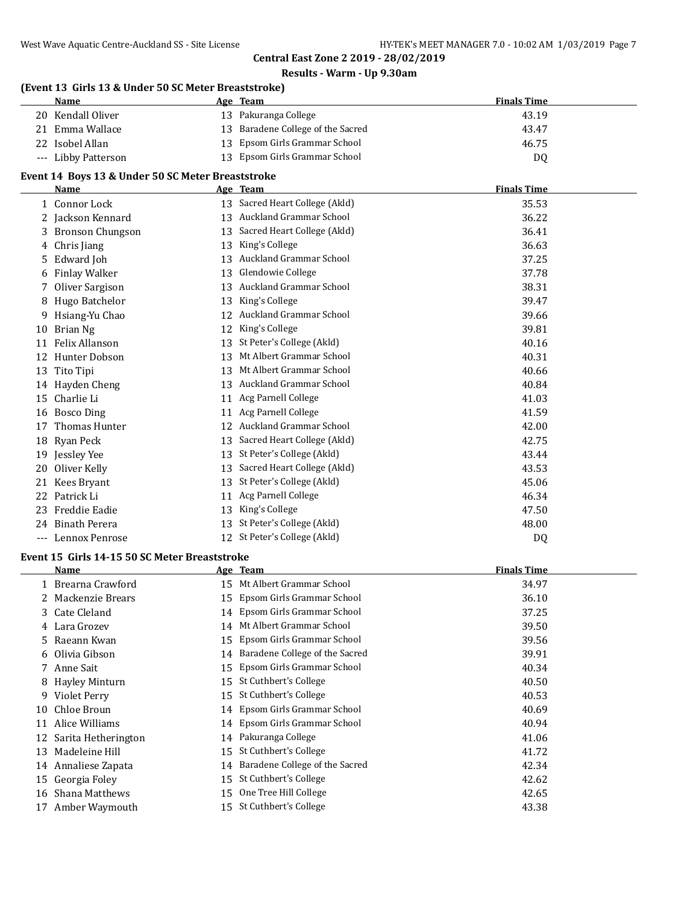#### **Results - Warm - Up 9.30am**

# **(Event 13 Girls 13 & Under 50 SC Meter Breaststroke)**

| Name                | Age Team                          | <b>Finals Time</b> |
|---------------------|-----------------------------------|--------------------|
| 20 Kendall Oliver   | 13 Pakuranga College              | 43.19              |
| 21 Emma Wallace     | 13 Baradene College of the Sacred | 43.47              |
| 22 Isobel Allan     | 13 Epsom Girls Grammar School     | 46.75              |
| --- Libby Patterson | 13 Epsom Girls Grammar School     | D <sub>0</sub>     |

# **Event 14 Boys 13 & Under 50 SC Meter Breaststroke**

|     | <b>Name</b>             |    | Age Team                       | <b>Finals Time</b> |
|-----|-------------------------|----|--------------------------------|--------------------|
|     | 1 Connor Lock           | 13 | Sacred Heart College (Akld)    | 35.53              |
|     | 2 Jackson Kennard       | 13 | Auckland Grammar School        | 36.22              |
| 3   | <b>Bronson Chungson</b> | 13 | Sacred Heart College (Akld)    | 36.41              |
| 4   | Chris Jiang             | 13 | King's College                 | 36.63              |
| 5.  | Edward Joh              | 13 | Auckland Grammar School        | 37.25              |
| 6   | <b>Finlay Walker</b>    | 13 | Glendowie College              | 37.78              |
|     | Oliver Sargison         | 13 | <b>Auckland Grammar School</b> | 38.31              |
| 8   | Hugo Batchelor          | 13 | King's College                 | 39.47              |
| 9   | Hsiang-Yu Chao          | 12 | Auckland Grammar School        | 39.66              |
| 10  | Brian Ng                | 12 | King's College                 | 39.81              |
| 11  | <b>Felix Allanson</b>   | 13 | St Peter's College (Akld)      | 40.16              |
| 12  | Hunter Dobson           | 13 | Mt Albert Grammar School       | 40.31              |
| 13  | Tito Tipi               | 13 | Mt Albert Grammar School       | 40.66              |
| 14  | Hayden Cheng            | 13 | Auckland Grammar School        | 40.84              |
| 15  | Charlie Li              | 11 | Acg Parnell College            | 41.03              |
| 16  | <b>Bosco Ding</b>       | 11 | Acg Parnell College            | 41.59              |
| 17  | <b>Thomas Hunter</b>    | 12 | <b>Auckland Grammar School</b> | 42.00              |
| 18  | Ryan Peck               | 13 | Sacred Heart College (Akld)    | 42.75              |
| 19  | Jessley Yee             | 13 | St Peter's College (Akld)      | 43.44              |
| 20  | Oliver Kelly            | 13 | Sacred Heart College (Akld)    | 43.53              |
| 21  | Kees Bryant             | 13 | St Peter's College (Akld)      | 45.06              |
| 22  | Patrick Li              | 11 | Acg Parnell College            | 46.34              |
| 23  | <b>Freddie Eadie</b>    | 13 | King's College                 | 47.50              |
| 24  | <b>Binath Perera</b>    | 13 | St Peter's College (Akld)      | 48.00              |
| --- | Lennox Penrose          |    | 12 St Peter's College (Akld)   | DQ                 |

#### **Event 15 Girls 14-15 50 SC Meter Breaststroke**

 $\overline{a}$ 

|    | Name                   |    | Age Team                       | <b>Finals Time</b> |
|----|------------------------|----|--------------------------------|--------------------|
|    | Brearna Crawford       | 15 | Mt Albert Grammar School       | 34.97              |
|    | 2 Mackenzie Brears     | 15 | Epsom Girls Grammar School     | 36.10              |
|    | 3 Cate Cleland         | 14 | Epsom Girls Grammar School     | 37.25              |
| 4  | Lara Grozev            | 14 | Mt Albert Grammar School       | 39.50              |
| 5. | Raeann Kwan            | 15 | Epsom Girls Grammar School     | 39.56              |
|    | 6 Olivia Gibson        | 14 | Baradene College of the Sacred | 39.91              |
|    | 7 Anne Sait            | 15 | Epsom Girls Grammar School     | 40.34              |
|    | 8 Hayley Minturn       | 15 | St Cuthbert's College          | 40.50              |
| 9  | Violet Perry           | 15 | St Cuthbert's College          | 40.53              |
|    | 10 Chloe Broun         | 14 | Epsom Girls Grammar School     | 40.69              |
| 11 | Alice Williams         | 14 | Epsom Girls Grammar School     | 40.94              |
|    | 12 Sarita Hetherington | 14 | Pakuranga College              | 41.06              |
| 13 | Madeleine Hill         | 15 | St Cuthbert's College          | 41.72              |
|    | 14 Annaliese Zapata    | 14 | Baradene College of the Sacred | 42.34              |
|    | 15 Georgia Foley       | 15 | St Cuthbert's College          | 42.62              |
|    | 16 Shana Matthews      | 15 | One Tree Hill College          | 42.65              |
|    | 17 Amber Waymouth      | 15 | St Cuthbert's College          | 43.38              |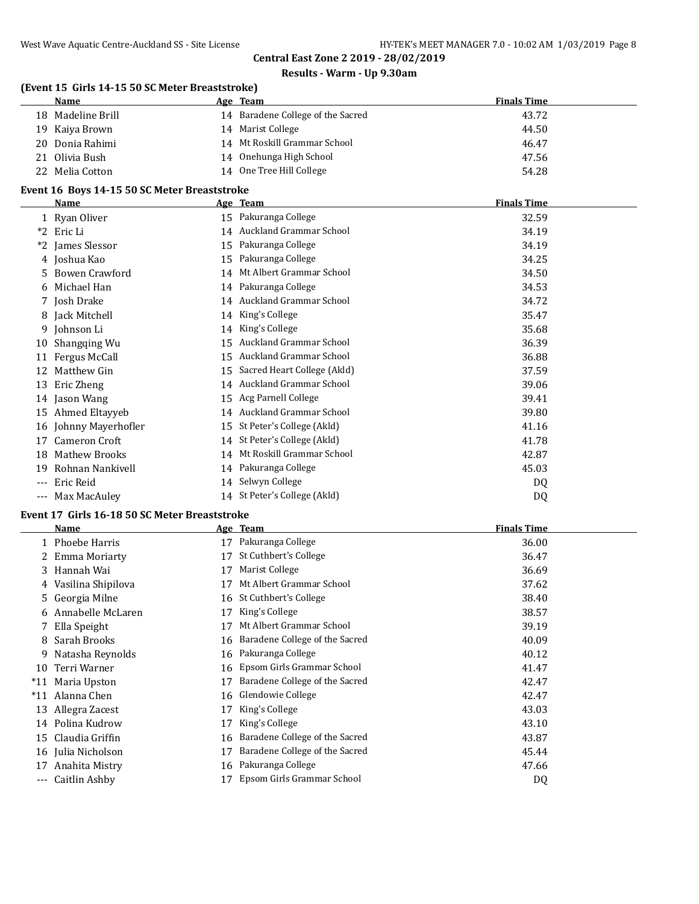# **Results - Warm - Up 9.30am**

|    | (Event 15 Girls 14-15 50 SC Meter Breaststroke) |    |                                   |                    |  |  |
|----|-------------------------------------------------|----|-----------------------------------|--------------------|--|--|
|    | Name                                            |    | Age Team                          | <b>Finals Time</b> |  |  |
|    | 18 Madeline Brill                               |    | 14 Baradene College of the Sacred | 43.72              |  |  |
|    | 19 Kaiya Brown                                  | 14 | Marist College                    | 44.50              |  |  |
|    | 20 Donia Rahimi                                 |    | 14 Mt Roskill Grammar School      | 46.47              |  |  |
| 21 | Olivia Bush                                     |    | 14 Onehunga High School           | 47.56              |  |  |
|    | Melia Cotton                                    | 14 | One Tree Hill College             | 54.28              |  |  |

#### **Event 16 Boys 14-15 50 SC Meter Breaststroke**

|       | <b>Name</b>           |    | Age Team                     | <b>Finals Time</b> |
|-------|-----------------------|----|------------------------------|--------------------|
|       | 1 Ryan Oliver         |    | 15 Pakuranga College         | 32.59              |
| $*2$  | Eric Li               | 14 | Auckland Grammar School      | 34.19              |
| *2    | James Slessor         | 15 | Pakuranga College            | 34.19              |
|       | 4 Joshua Kao          | 15 | Pakuranga College            | 34.25              |
| 5.    | <b>Bowen Crawford</b> | 14 | Mt Albert Grammar School     | 34.50              |
| 6.    | Michael Han           | 14 | Pakuranga College            | 34.53              |
|       | 7 Josh Drake          |    | 14 Auckland Grammar School   | 34.72              |
|       | 8 Jack Mitchell       | 14 | King's College               | 35.47              |
| 9.    | Johnson Li            | 14 | King's College               | 35.68              |
| 10    | Shangqing Wu          | 15 | Auckland Grammar School      | 36.39              |
| 11    | Fergus McCall         | 15 | Auckland Grammar School      | 36.88              |
| 12    | Matthew Gin           | 15 | Sacred Heart College (Akld)  | 37.59              |
| 13    | Eric Zheng            |    | 14 Auckland Grammar School   | 39.06              |
|       | 14 Jason Wang         |    | 15 Acg Parnell College       | 39.41              |
| 15    | Ahmed Eltayyeb        |    | 14 Auckland Grammar School   | 39.80              |
| 16    | Johnny Mayerhofler    | 15 | St Peter's College (Akld)    | 41.16              |
| 17    | Cameron Croft         | 14 | St Peter's College (Akld)    | 41.78              |
| 18    | <b>Mathew Brooks</b>  | 14 | Mt Roskill Grammar School    | 42.87              |
| 19    | Rohnan Nankivell      | 14 | Pakuranga College            | 45.03              |
| ---   | Eric Reid             | 14 | Selwyn College               | DQ                 |
| $---$ | Max MacAuley          |    | 14 St Peter's College (Akld) | DQ                 |

# **Event 17 Girls 16-18 50 SC Meter Breaststroke**

|       | Name                 |    | Age Team                       | <b>Finals Time</b> |
|-------|----------------------|----|--------------------------------|--------------------|
|       | 1 Phoebe Harris      | 17 | Pakuranga College              | 36.00              |
|       | 2 Emma Moriarty      | 17 | St Cuthbert's College          | 36.47              |
|       | 3 Hannah Wai         | 17 | Marist College                 | 36.69              |
|       | 4 Vasilina Shipilova | 17 | Mt Albert Grammar School       | 37.62              |
|       | 5 Georgia Milne      | 16 | St Cuthbert's College          | 38.40              |
| b.    | Annabelle McLaren    | 17 | King's College                 | 38.57              |
|       | 7 Ella Speight       | 17 | Mt Albert Grammar School       | 39.19              |
| 8     | Sarah Brooks         | 16 | Baradene College of the Sacred | 40.09              |
| 9     | Natasha Reynolds     |    | 16 Pakuranga College           | 40.12              |
| 10    | Terri Warner         | 16 | Epsom Girls Grammar School     | 41.47              |
| $*11$ | Maria Upston         | 17 | Baradene College of the Sacred | 42.47              |
| $*11$ | Alanna Chen          | 16 | Glendowie College              | 42.47              |
| 13    | Allegra Zacest       | 17 | King's College                 | 43.03              |
| 14    | Polina Kudrow        | 17 | King's College                 | 43.10              |
| 15    | Claudia Griffin      | 16 | Baradene College of the Sacred | 43.87              |
| 16    | Julia Nicholson      | 17 | Baradene College of the Sacred | 45.44              |
| 17    | Anahita Mistry       | 16 | Pakuranga College              | 47.66              |
| $---$ | Caitlin Ashby        |    | Epsom Girls Grammar School     | DQ                 |
|       |                      |    |                                |                    |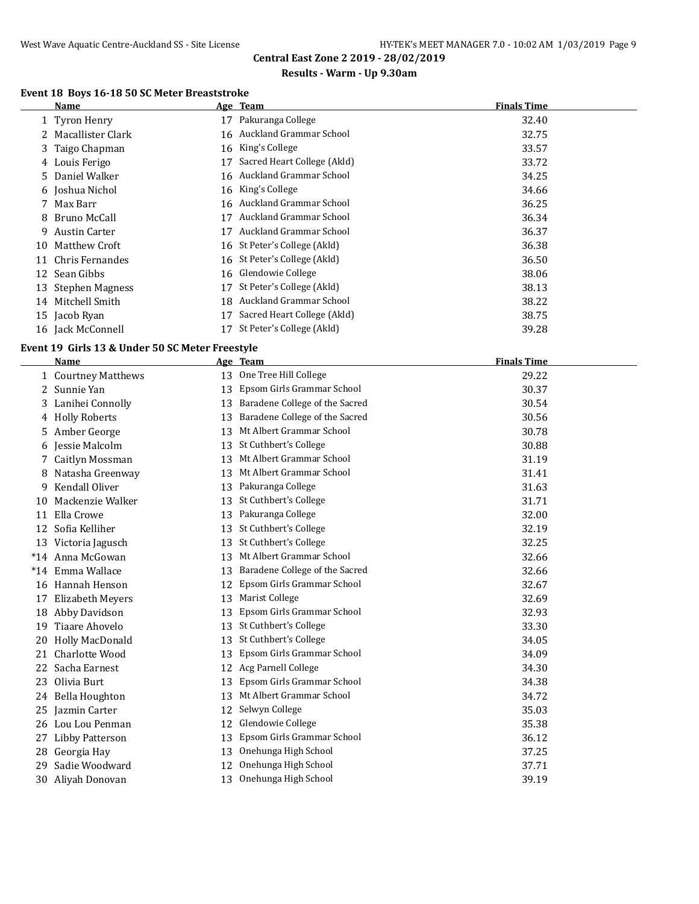# **Results - Warm - Up 9.30am**

# **Event 18 Boys 16-18 50 SC Meter Breaststroke**

|    | Name                |    | Age Team                     | <b>Finals Time</b> |
|----|---------------------|----|------------------------------|--------------------|
|    | 1 Tyron Henry       | 17 | Pakuranga College            | 32.40              |
|    | 2 Macallister Clark |    | 16 Auckland Grammar School   | 32.75              |
|    | 3 Taigo Chapman     |    | 16 King's College            | 33.57              |
|    | 4 Louis Ferigo      | 17 | Sacred Heart College (Akld)  | 33.72              |
|    | 5 Daniel Walker     |    | 16 Auckland Grammar School   | 34.25              |
|    | 6 Joshua Nichol     |    | 16 King's College            | 34.66              |
|    | 7 Max Barr          |    | 16 Auckland Grammar School   | 36.25              |
|    | 8 Bruno McCall      | 17 | Auckland Grammar School      | 36.34              |
| 9. | Austin Carter       | 17 | Auckland Grammar School      | 36.37              |
| 10 | Matthew Croft       |    | 16 St Peter's College (Akld) | 36.38              |
| 11 | Chris Fernandes     |    | 16 St Peter's College (Akld) | 36.50              |
|    | 12 Sean Gibbs       |    | 16 Glendowie College         | 38.06              |
|    | 13 Stephen Magness  | 17 | St Peter's College (Akld)    | 38.13              |
| 14 | Mitchell Smith      |    | 18 Auckland Grammar School   | 38.22              |
|    | 15 Jacob Ryan       | 17 | Sacred Heart College (Akld)  | 38.75              |
|    | 16 Jack McConnell   | 17 | St Peter's College (Akld)    | 39.28              |

#### **Event 19 Girls 13 & Under 50 SC Meter Freestyle**

|    | Name                   |    | Age Team                       | <b>Finals Time</b> |
|----|------------------------|----|--------------------------------|--------------------|
|    | 1 Courtney Matthews    | 13 | One Tree Hill College          | 29.22              |
| 2  | Sunnie Yan             | 13 | Epsom Girls Grammar School     | 30.37              |
|    | 3 Lanihei Connolly     | 13 | Baradene College of the Sacred | 30.54              |
|    | 4 Holly Roberts        | 13 | Baradene College of the Sacred | 30.56              |
| 5. | Amber George           | 13 | Mt Albert Grammar School       | 30.78              |
| 6  | Jessie Malcolm         | 13 | St Cuthbert's College          | 30.88              |
|    | Caitlyn Mossman        | 13 | Mt Albert Grammar School       | 31.19              |
| 8  | Natasha Greenway       | 13 | Mt Albert Grammar School       | 31.41              |
| 9  | Kendall Oliver         | 13 | Pakuranga College              | 31.63              |
| 10 | Mackenzie Walker       | 13 | St Cuthbert's College          | 31.71              |
| 11 | Ella Crowe             | 13 | Pakuranga College              | 32.00              |
| 12 | Sofia Kelliher         | 13 | St Cuthbert's College          | 32.19              |
| 13 | Victoria Jagusch       | 13 | St Cuthbert's College          | 32.25              |
|    | *14 Anna McGowan       | 13 | Mt Albert Grammar School       | 32.66              |
|    | *14 Emma Wallace       | 13 | Baradene College of the Sacred | 32.66              |
| 16 | Hannah Henson          | 12 | Epsom Girls Grammar School     | 32.67              |
| 17 | Elizabeth Meyers       | 13 | Marist College                 | 32.69              |
| 18 | Abby Davidson          | 13 | Epsom Girls Grammar School     | 32.93              |
| 19 | Tiaare Ahovelo         | 13 | St Cuthbert's College          | 33.30              |
| 20 | Holly MacDonald        | 13 | St Cuthbert's College          | 34.05              |
| 21 | Charlotte Wood         | 13 | Epsom Girls Grammar School     | 34.09              |
| 22 | Sacha Earnest          | 12 | Acg Parnell College            | 34.30              |
| 23 | Olivia Burt            | 13 | Epsom Girls Grammar School     | 34.38              |
| 24 | Bella Houghton         | 13 | Mt Albert Grammar School       | 34.72              |
| 25 | Jazmin Carter          | 12 | Selwyn College                 | 35.03              |
|    | 26 Lou Lou Penman      | 12 | Glendowie College              | 35.38              |
| 27 | <b>Libby Patterson</b> | 13 | Epsom Girls Grammar School     | 36.12              |
| 28 | Georgia Hay            | 13 | Onehunga High School           | 37.25              |
| 29 | Sadie Woodward         | 12 | Onehunga High School           | 37.71              |
| 30 | Aliyah Donovan         | 13 | Onehunga High School           | 39.19              |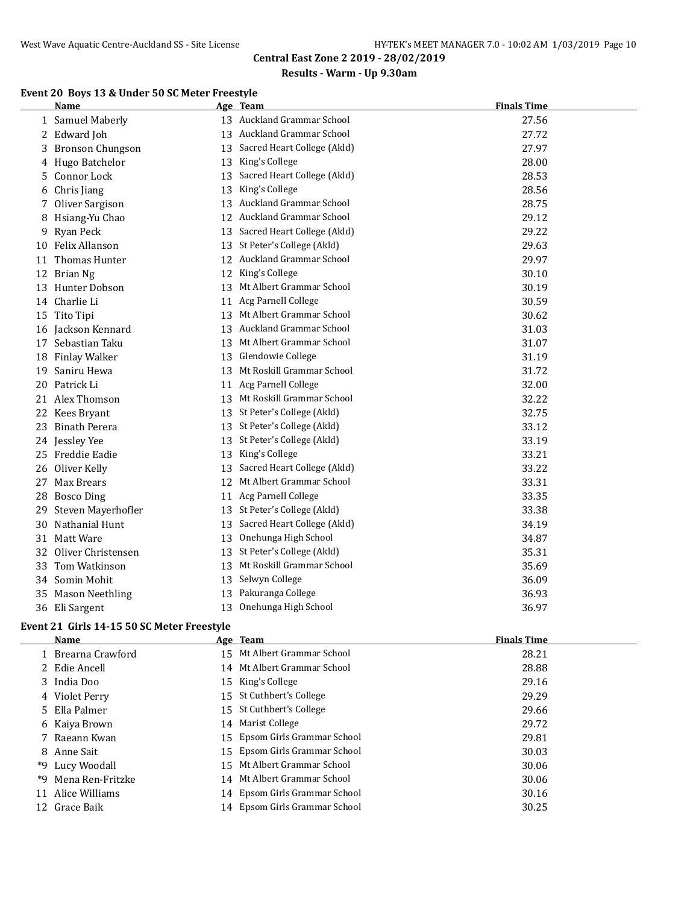# **Results - Warm - Up 9.30am**

# **Event 20 Boys 13 & Under 50 SC Meter Freestyle**

|    | <b>Name</b>           |    | Age Team                       | <b>Finals Time</b> |
|----|-----------------------|----|--------------------------------|--------------------|
|    | 1 Samuel Maberly      |    | 13 Auckland Grammar School     | 27.56              |
|    | 2 Edward Joh          |    | 13 Auckland Grammar School     | 27.72              |
|    | 3 Bronson Chungson    |    | 13 Sacred Heart College (Akld) | 27.97              |
| 4  | Hugo Batchelor        | 13 | King's College                 | 28.00              |
|    | 5 Connor Lock         | 13 | Sacred Heart College (Akld)    | 28.53              |
| 6  | Chris Jiang           | 13 | King's College                 | 28.56              |
|    | 7 Oliver Sargison     |    | 13 Auckland Grammar School     | 28.75              |
|    | 8 Hsiang-Yu Chao      |    | 12 Auckland Grammar School     | 29.12              |
|    | 9 Ryan Peck           |    | 13 Sacred Heart College (Akld) | 29.22              |
|    | 10 Felix Allanson     |    | 13 St Peter's College (Akld)   | 29.63              |
| 11 | Thomas Hunter         |    | 12 Auckland Grammar School     | 29.97              |
|    | 12 Brian Ng           | 12 | King's College                 | 30.10              |
|    | 13 Hunter Dobson      |    | 13 Mt Albert Grammar School    | 30.19              |
|    | 14 Charlie Li         | 11 | Acg Parnell College            | 30.59              |
|    | 15 Tito Tipi          | 13 | Mt Albert Grammar School       | 30.62              |
|    | 16 Jackson Kennard    | 13 | Auckland Grammar School        | 31.03              |
|    | 17 Sebastian Taku     | 13 | Mt Albert Grammar School       | 31.07              |
|    | 18 Finlay Walker      |    | 13 Glendowie College           | 31.19              |
|    | 19 Saniru Hewa        |    | 13 Mt Roskill Grammar School   | 31.72              |
|    | 20 Patrick Li         |    | 11 Acg Parnell College         | 32.00              |
|    | 21 Alex Thomson       |    | 13 Mt Roskill Grammar School   | 32.22              |
|    | 22 Kees Bryant        |    | 13 St Peter's College (Akld)   | 32.75              |
|    | 23 Binath Perera      |    | 13 St Peter's College (Akld)   | 33.12              |
|    | 24 Jessley Yee        |    | 13 St Peter's College (Akld)   | 33.19              |
|    | 25 Freddie Eadie      |    | 13 King's College              | 33.21              |
| 26 | Oliver Kelly          |    | 13 Sacred Heart College (Akld) | 33.22              |
|    | 27 Max Brears         |    | 12 Mt Albert Grammar School    | 33.31              |
|    | 28 Bosco Ding         |    | 11 Acg Parnell College         | 33.35              |
|    | 29 Steven Mayerhofler |    | 13 St Peter's College (Akld)   | 33.38              |
|    | 30 Nathanial Hunt     |    | 13 Sacred Heart College (Akld) | 34.19              |
|    | 31 Matt Ware          |    | 13 Onehunga High School        | 34.87              |
|    | 32 Oliver Christensen |    | 13 St Peter's College (Akld)   | 35.31              |
| 33 | Tom Watkinson         |    | 13 Mt Roskill Grammar School   | 35.69              |
|    | 34 Somin Mohit        |    | 13 Selwyn College              | 36.09              |
|    | 35 Mason Neethling    |    | 13 Pakuranga College           | 36.93              |
|    | 36 Eli Sargent        |    | 13 Onehunga High School        | 36.97              |

# **Event 21 Girls 14-15 50 SC Meter Freestyle**

|     | <b>Name</b>        | Age Team                      | <b>Finals Time</b> |
|-----|--------------------|-------------------------------|--------------------|
|     | 1 Brearna Crawford | 15 Mt Albert Grammar School   | 28.21              |
|     | 2 Edie Ancell      | 14 Mt Albert Grammar School   | 28.88              |
|     | 3 India Doo        | 15 King's College             | 29.16              |
|     | 4 Violet Perry     | 15 St Cuthbert's College      | 29.29              |
|     | 5 Ella Palmer      | 15 St Cuthbert's College      | 29.66              |
|     | 6 Kaiya Brown      | 14 Marist College             | 29.72              |
|     | 7 Raeann Kwan      | 15 Epsom Girls Grammar School | 29.81              |
|     | 8 Anne Sait        | 15 Epsom Girls Grammar School | 30.03              |
|     | *9 Lucy Woodall    | 15 Mt Albert Grammar School   | 30.06              |
| *9. | Mena Ren-Fritzke   | 14 Mt Albert Grammar School   | 30.06              |
|     | 11 Alice Williams  | 14 Epsom Girls Grammar School | 30.16              |
|     | 12 Grace Baik      | 14 Epsom Girls Grammar School | 30.25              |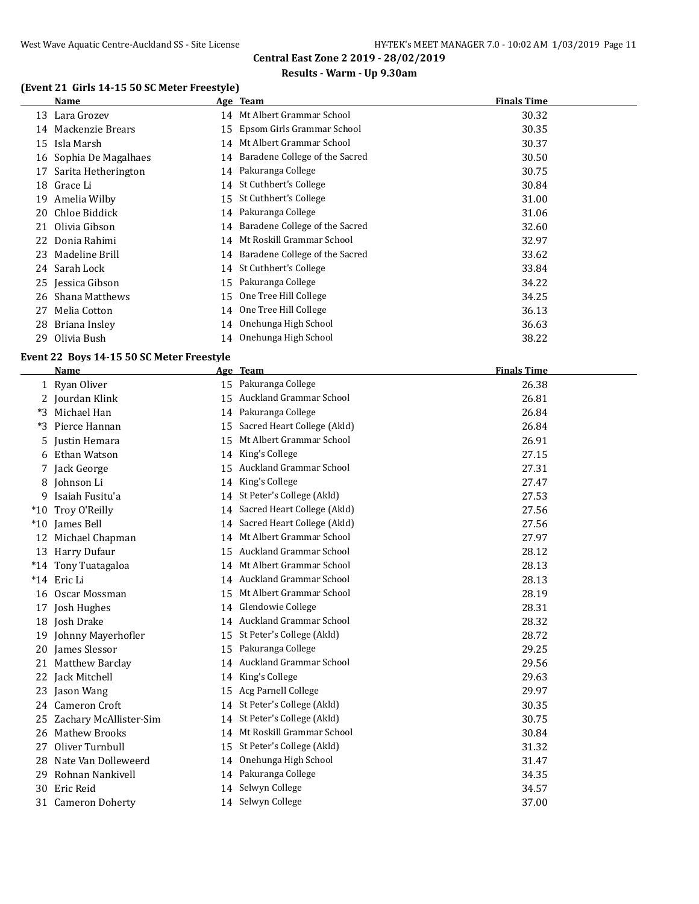#### **Results - Warm - Up 9.30am**

# **(Event 21 Girls 14-15 50 SC Meter Freestyle)**

|     | Name                   |    | Age Team                          | <b>Finals Time</b> |
|-----|------------------------|----|-----------------------------------|--------------------|
|     | 13 Lara Grozev         |    | 14 Mt Albert Grammar School       | 30.32              |
| 14  | Mackenzie Brears       |    | 15 Epsom Girls Grammar School     | 30.35              |
| 15  | Isla Marsh             |    | 14 Mt Albert Grammar School       | 30.37              |
|     | 16 Sophia De Magalhaes | 14 | Baradene College of the Sacred    | 30.50              |
| 17  | Sarita Hetherington    | 14 | Pakuranga College                 | 30.75              |
| 18  | Grace Li               | 14 | St Cuthbert's College             | 30.84              |
| 19  | Amelia Wilby           | 15 | St Cuthbert's College             | 31.00              |
| 20. | Chloe Biddick          |    | 14 Pakuranga College              | 31.06              |
| 21  | Olivia Gibson          | 14 | Baradene College of the Sacred    | 32.60              |
|     | 22 Donia Rahimi        | 14 | Mt Roskill Grammar School         | 32.97              |
| 23  | Madeline Brill         |    | 14 Baradene College of the Sacred | 33.62              |
|     | 24 Sarah Lock          |    | 14 St Cuthbert's College          | 33.84              |
|     | 25 Jessica Gibson      | 15 | Pakuranga College                 | 34.22              |
| 26  | <b>Shana Matthews</b>  | 15 | One Tree Hill College             | 34.25              |
| 27  | Melia Cotton           | 14 | One Tree Hill College             | 36.13              |
| 28  | Briana Insley          | 14 | Onehunga High School              | 36.63              |
| 29  | Olivia Bush            |    | 14 Onehunga High School           | 38.22              |

# **Event 22 Boys 14-15 50 SC Meter Freestyle**

|       | <b>Name</b>            |    | Age Team                       | <b>Finals Time</b> |
|-------|------------------------|----|--------------------------------|--------------------|
|       | 1 Ryan Oliver          | 15 | Pakuranga College              | 26.38              |
|       | 2 Jourdan Klink        | 15 | Auckland Grammar School        | 26.81              |
|       | *3 Michael Han         | 14 | Pakuranga College              | 26.84              |
| $*3$  | Pierce Hannan          | 15 | Sacred Heart College (Akld)    | 26.84              |
| 5     | Justin Hemara          | 15 | Mt Albert Grammar School       | 26.91              |
| 6     | Ethan Watson           |    | 14 King's College              | 27.15              |
|       | 7 Jack George          | 15 | Auckland Grammar School        | 27.31              |
|       | 8 Johnson Li           | 14 | King's College                 | 27.47              |
|       | 9 Isaiah Fusitu'a      | 14 | St Peter's College (Akld)      | 27.53              |
| $*10$ | Troy O'Reilly          | 14 | Sacred Heart College (Akld)    | 27.56              |
|       | *10 James Bell         | 14 | Sacred Heart College (Akld)    | 27.56              |
|       | 12 Michael Chapman     | 14 | Mt Albert Grammar School       | 27.97              |
|       | 13 Harry Dufaur        | 15 | Auckland Grammar School        | 28.12              |
|       | *14 Tony Tuatagaloa    | 14 | Mt Albert Grammar School       | 28.13              |
|       | *14 Eric Li            |    | 14 Auckland Grammar School     | 28.13              |
| 16    | Oscar Mossman          | 15 | Mt Albert Grammar School       | 28.19              |
|       | 17 Josh Hughes         | 14 | Glendowie College              | 28.31              |
|       | 18 Josh Drake          | 14 | Auckland Grammar School        | 28.32              |
|       | 19 Johnny Mayerhofler  | 15 | St Peter's College (Akld)      | 28.72              |
|       | 20 James Slessor       | 15 | Pakuranga College              | 29.25              |
|       | 21 Matthew Barclay     | 14 | <b>Auckland Grammar School</b> | 29.56              |
|       | 22 Jack Mitchell       | 14 | King's College                 | 29.63              |
|       | 23 Jason Wang          | 15 | Acg Parnell College            | 29.97              |
|       | 24 Cameron Croft       | 14 | St Peter's College (Akld)      | 30.35              |
| 25    | Zachary McAllister-Sim | 14 | St Peter's College (Akld)      | 30.75              |
| 26    | <b>Mathew Brooks</b>   |    | 14 Mt Roskill Grammar School   | 30.84              |
| 27    | Oliver Turnbull        | 15 | St Peter's College (Akld)      | 31.32              |
| 28    | Nate Van Dolleweerd    | 14 | Onehunga High School           | 31.47              |
| 29    | Rohnan Nankivell       |    | 14 Pakuranga College           | 34.35              |
| 30    | Eric Reid              |    | 14 Selwyn College              | 34.57              |
| 31    | <b>Cameron Doherty</b> |    | 14 Selwyn College              | 37.00              |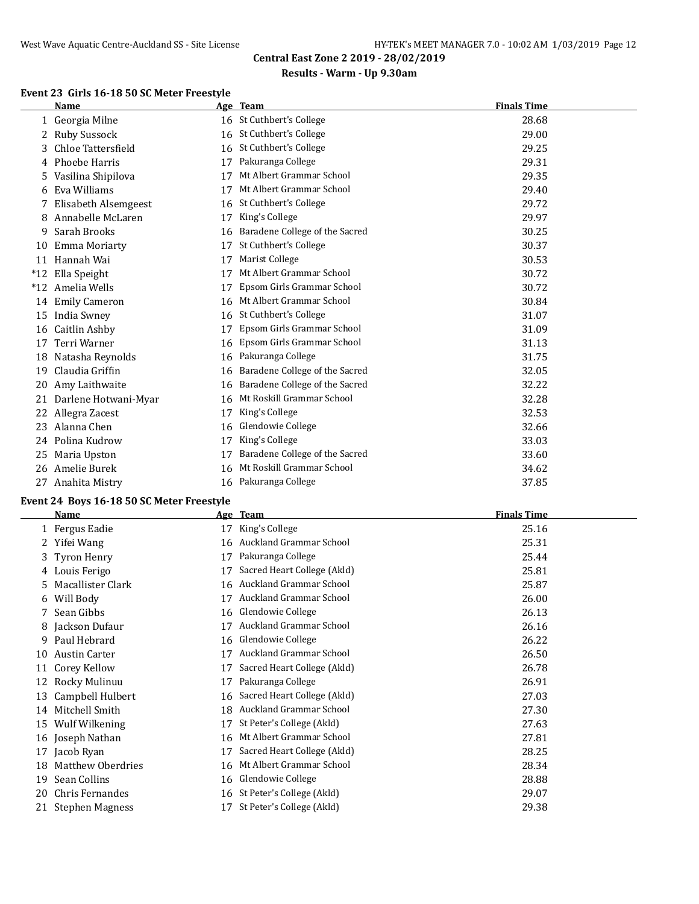# **Results - Warm - Up 9.30am**

#### **Event 23 Girls 16-18 50 SC Meter Freestyle**

|       | Name                 |    | Age Team                       | <b>Finals Time</b> |
|-------|----------------------|----|--------------------------------|--------------------|
|       | 1 Georgia Milne      |    | 16 St Cuthbert's College       | 28.68              |
| 2     | <b>Ruby Sussock</b>  | 16 | St Cuthbert's College          | 29.00              |
| 3     | Chloe Tattersfield   | 16 | St Cuthbert's College          | 29.25              |
| 4     | Phoebe Harris        | 17 | Pakuranga College              | 29.31              |
| 5     | Vasilina Shipilova   | 17 | Mt Albert Grammar School       | 29.35              |
| 6     | Eva Williams         | 17 | Mt Albert Grammar School       | 29.40              |
|       | Elisabeth Alsemgeest | 16 | St Cuthbert's College          | 29.72              |
| 8     | Annabelle McLaren    | 17 | King's College                 | 29.97              |
| 9     | Sarah Brooks         | 16 | Baradene College of the Sacred | 30.25              |
| 10    | Emma Moriarty        | 17 | St Cuthbert's College          | 30.37              |
| 11    | Hannah Wai           | 17 | Marist College                 | 30.53              |
| $*12$ | Ella Speight         | 17 | Mt Albert Grammar School       | 30.72              |
| $*12$ | Amelia Wells         | 17 | Epsom Girls Grammar School     | 30.72              |
| 14    | <b>Emily Cameron</b> | 16 | Mt Albert Grammar School       | 30.84              |
| 15    | India Swney          | 16 | St Cuthbert's College          | 31.07              |
| 16    | Caitlin Ashby        | 17 | Epsom Girls Grammar School     | 31.09              |
| 17    | Terri Warner         | 16 | Epsom Girls Grammar School     | 31.13              |
| 18    | Natasha Reynolds     | 16 | Pakuranga College              | 31.75              |
| 19    | Claudia Griffin      | 16 | Baradene College of the Sacred | 32.05              |
| 20    | Amy Laithwaite       | 16 | Baradene College of the Sacred | 32.22              |
| 21    | Darlene Hotwani-Myar | 16 | Mt Roskill Grammar School      | 32.28              |
| 22    | Allegra Zacest       | 17 | King's College                 | 32.53              |
| 23    | Alanna Chen          | 16 | Glendowie College              | 32.66              |
|       | 24 Polina Kudrow     | 17 | King's College                 | 33.03              |
| 25    | Maria Upston         | 17 | Baradene College of the Sacred | 33.60              |
| 26    | Amelie Burek         | 16 | Mt Roskill Grammar School      | 34.62              |
| 27    | Anahita Mistry       | 16 | Pakuranga College              | 37.85              |

#### **Event 24 Boys 16-18 50 SC Meter Freestyle**

 $\overline{\phantom{a}}$ 

|     | Name                 |    | Age Team                     | <b>Finals Time</b> |
|-----|----------------------|----|------------------------------|--------------------|
|     | 1 Fergus Eadie       | 17 | King's College               | 25.16              |
|     | 2 Yifei Wang         |    | 16 Auckland Grammar School   | 25.31              |
|     | 3 Tyron Henry        | 17 | Pakuranga College            | 25.44              |
|     | 4 Louis Ferigo       | 17 | Sacred Heart College (Akld)  | 25.81              |
|     | Macallister Clark    | 16 | Auckland Grammar School      | 25.87              |
| 6   | Will Body            | 17 | Auckland Grammar School      | 26.00              |
|     | 7 Sean Gibbs         | 16 | Glendowie College            | 26.13              |
| 8   | Jackson Dufaur       | 17 | Auckland Grammar School      | 26.16              |
| 9   | Paul Hebrard         | 16 | Glendowie College            | 26.22              |
| 10  | <b>Austin Carter</b> | 17 | Auckland Grammar School      | 26.50              |
| 11  | Corey Kellow         | 17 | Sacred Heart College (Akld)  | 26.78              |
| 12  | Rocky Mulinuu        | 17 | Pakuranga College            | 26.91              |
| 13  | Campbell Hulbert     | 16 | Sacred Heart College (Akld)  | 27.03              |
| 14  | Mitchell Smith       |    | 18 Auckland Grammar School   | 27.30              |
| 15  | Wulf Wilkening       | 17 | St Peter's College (Akld)    | 27.63              |
| 16  | Joseph Nathan        | 16 | Mt Albert Grammar School     | 27.81              |
| 17  | Jacob Ryan           | 17 | Sacred Heart College (Akld)  | 28.25              |
| 18  | Matthew Oberdries    | 16 | Mt Albert Grammar School     | 28.34              |
| 19  | Sean Collins         | 16 | Glendowie College            | 28.88              |
| 20. | Chris Fernandes      |    | 16 St Peter's College (Akld) | 29.07              |
|     | 21 Stephen Magness   | 17 | St Peter's College (Akld)    | 29.38              |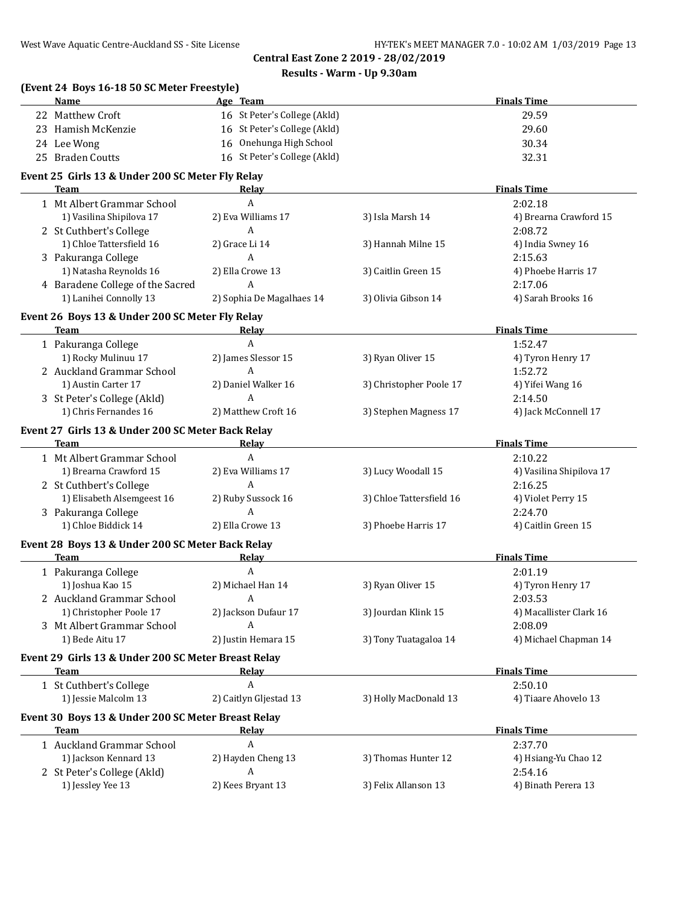# **Results - Warm - Up 9.30am**

| (Event 24 Boys 16-18 50 SC Meter Freestyle)<br><b>Name</b> | Age Team                     |                          | <b>Finals Time</b>             |
|------------------------------------------------------------|------------------------------|--------------------------|--------------------------------|
| 22 Matthew Croft                                           | 16 St Peter's College (Akld) |                          | 29.59                          |
| 23 Hamish McKenzie                                         | 16 St Peter's College (Akld) |                          | 29.60                          |
| 24 Lee Wong                                                | 16 Onehunga High School      |                          | 30.34                          |
| 25 Braden Coutts                                           | 16 St Peter's College (Akld) |                          | 32.31                          |
| Event 25 Girls 13 & Under 200 SC Meter Fly Relay           |                              |                          |                                |
| Team                                                       | Relay                        |                          | <b>Finals Time</b>             |
| 1 Mt Albert Grammar School                                 | A                            |                          | 2:02.18                        |
| 1) Vasilina Shipilova 17                                   | 2) Eva Williams 17           | 3) Isla Marsh 14         | 4) Brearna Crawford 15         |
| 2 St Cuthbert's College                                    | A                            |                          | 2:08.72                        |
| 1) Chloe Tattersfield 16                                   | 2) Grace Li 14               | 3) Hannah Milne 15       | 4) India Swney 16              |
| 3 Pakuranga College                                        | A                            |                          | 2:15.63                        |
| 1) Natasha Reynolds 16                                     | 2) Ella Crowe 13             | 3) Caitlin Green 15      | 4) Phoebe Harris 17            |
| 4 Baradene College of the Sacred                           | A                            |                          | 2:17.06                        |
| 1) Lanihei Connolly 13                                     | 2) Sophia De Magalhaes 14    | 3) Olivia Gibson 14      | 4) Sarah Brooks 16             |
| Event 26 Boys 13 & Under 200 SC Meter Fly Relay            |                              |                          |                                |
| <b>Team</b>                                                | Relay                        |                          | <b>Finals Time</b>             |
| 1 Pakuranga College                                        | $\boldsymbol{A}$             |                          | 1:52.47                        |
| 1) Rocky Mulinuu 17                                        | 2) James Slessor 15          | 3) Ryan Oliver 15        | 4) Tyron Henry 17              |
| 2 Auckland Grammar School                                  | $\mathbf{A}$                 |                          | 1:52.72                        |
| 1) Austin Carter 17                                        | 2) Daniel Walker 16          | 3) Christopher Poole 17  | 4) Yifei Wang 16               |
| 3 St Peter's College (Akld)                                | A                            |                          | 2:14.50                        |
| 1) Chris Fernandes 16                                      | 2) Matthew Croft 16          | 3) Stephen Magness 17    | 4) Jack McConnell 17           |
| Event 27 Girls 13 & Under 200 SC Meter Back Relay          |                              |                          |                                |
| Team                                                       | Relay                        |                          | <b>Finals Time</b>             |
| 1 Mt Albert Grammar School                                 | A                            |                          | 2:10.22                        |
| 1) Brearna Crawford 15                                     | 2) Eva Williams 17           | 3) Lucy Woodall 15       | 4) Vasilina Shipilova 17       |
| 2 St Cuthbert's College                                    | A                            |                          | 2:16.25                        |
| 1) Elisabeth Alsemgeest 16                                 | 2) Ruby Sussock 16           | 3) Chloe Tattersfield 16 | 4) Violet Perry 15             |
| 3 Pakuranga College                                        | A                            |                          | 2:24.70                        |
| 1) Chloe Biddick 14                                        | 2) Ella Crowe 13             | 3) Phoebe Harris 17      | 4) Caitlin Green 15            |
|                                                            |                              |                          |                                |
| Event 28 Boys 13 & Under 200 SC Meter Back Relay<br>Team   | <b>Relay</b>                 |                          | <b>Finals Time</b>             |
| 1 Pakuranga College                                        | A                            |                          | 2:01.19                        |
| 1) Joshua Kao 15                                           | 2) Michael Han 14            | 3) Ryan Oliver 15        | 4) Tyron Henry 17              |
| 2 Auckland Grammar School                                  | A                            |                          | 2:03.53                        |
| 1) Christopher Poole 17                                    | 2) Jackson Dufaur 17         | 3) Jourdan Klink 15      | 4) Macallister Clark 16        |
| 3 Mt Albert Grammar School                                 | A                            |                          | 2:08.09                        |
| 1) Bede Aitu 17                                            | 2) Justin Hemara 15          | 3) Tony Tuatagaloa 14    | 4) Michael Chapman 14          |
|                                                            |                              |                          |                                |
| Event 29 Girls 13 & Under 200 SC Meter Breast Relay        |                              |                          |                                |
|                                                            |                              |                          | <b>Finals Time</b>             |
| <b>Team</b>                                                | Relay                        |                          |                                |
| 1 St Cuthbert's College                                    | A                            |                          | 2:50.10                        |
| 1) Jessie Malcolm 13                                       | 2) Caitlyn Gljestad 13       | 3) Holly MacDonald 13    | 4) Tiaare Ahovelo 13           |
| Event 30 Boys 13 & Under 200 SC Meter Breast Relay         |                              |                          |                                |
| <b>Team</b>                                                | <u>Relav</u>                 |                          | <b>Finals Time</b>             |
| 1 Auckland Grammar School                                  | A                            |                          | 2:37.70                        |
| 1) Jackson Kennard 13                                      | 2) Hayden Cheng 13           | 3) Thomas Hunter 12      | 4) Hsiang-Yu Chao 12           |
| 2 St Peter's College (Akld)<br>1) Jessley Yee 13           | A<br>2) Kees Bryant 13       | 3) Felix Allanson 13     | 2:54.16<br>4) Binath Perera 13 |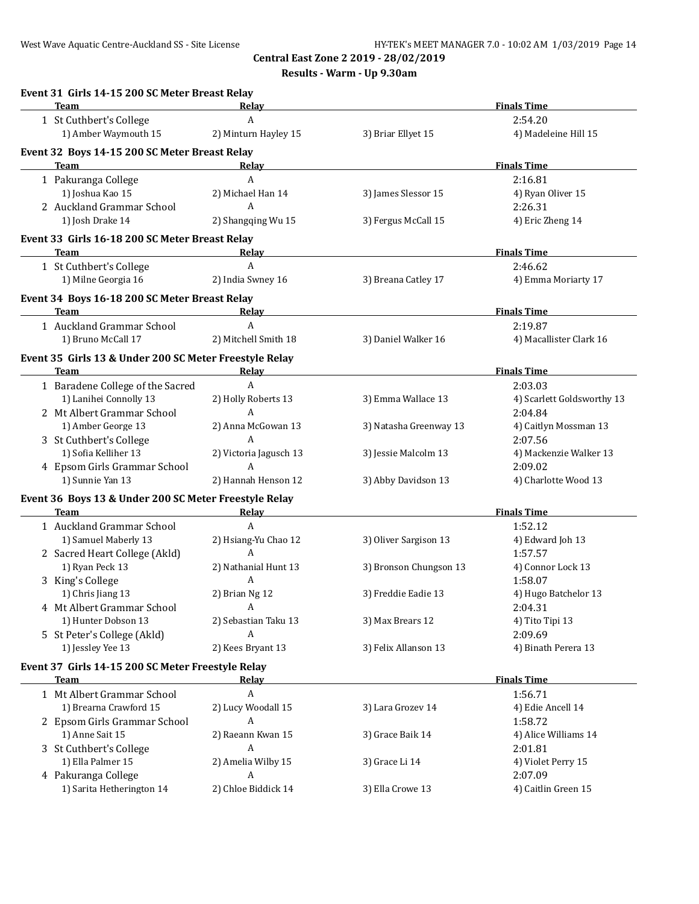**Results - Warm - Up 9.30am**

| Team<br>1 St Cuthbert's College<br>1) Amber Waymouth 15 | Relay<br>A                                                                                                                                                                                                                                                                                                                                                                                                                                                                                                                                                                                                                                                                                                                                                       |                                                                                                                                                                                                                                                                                                                                                                                                                                                                                                                                                                                                                                                                                                  | <b>Finals Time</b>                                                                                                                                                                                                                                  |
|---------------------------------------------------------|------------------------------------------------------------------------------------------------------------------------------------------------------------------------------------------------------------------------------------------------------------------------------------------------------------------------------------------------------------------------------------------------------------------------------------------------------------------------------------------------------------------------------------------------------------------------------------------------------------------------------------------------------------------------------------------------------------------------------------------------------------------|--------------------------------------------------------------------------------------------------------------------------------------------------------------------------------------------------------------------------------------------------------------------------------------------------------------------------------------------------------------------------------------------------------------------------------------------------------------------------------------------------------------------------------------------------------------------------------------------------------------------------------------------------------------------------------------------------|-----------------------------------------------------------------------------------------------------------------------------------------------------------------------------------------------------------------------------------------------------|
|                                                         |                                                                                                                                                                                                                                                                                                                                                                                                                                                                                                                                                                                                                                                                                                                                                                  |                                                                                                                                                                                                                                                                                                                                                                                                                                                                                                                                                                                                                                                                                                  |                                                                                                                                                                                                                                                     |
|                                                         | 2) Minturn Hayley 15                                                                                                                                                                                                                                                                                                                                                                                                                                                                                                                                                                                                                                                                                                                                             | 3) Briar Ellyet 15                                                                                                                                                                                                                                                                                                                                                                                                                                                                                                                                                                                                                                                                               | 2:54.20<br>4) Madeleine Hill 15                                                                                                                                                                                                                     |
| Event 32 Boys 14-15 200 SC Meter Breast Relay           |                                                                                                                                                                                                                                                                                                                                                                                                                                                                                                                                                                                                                                                                                                                                                                  |                                                                                                                                                                                                                                                                                                                                                                                                                                                                                                                                                                                                                                                                                                  |                                                                                                                                                                                                                                                     |
| <b>Team</b>                                             | Relay                                                                                                                                                                                                                                                                                                                                                                                                                                                                                                                                                                                                                                                                                                                                                            |                                                                                                                                                                                                                                                                                                                                                                                                                                                                                                                                                                                                                                                                                                  | <b>Finals Time</b>                                                                                                                                                                                                                                  |
| 1 Pakuranga College                                     | A                                                                                                                                                                                                                                                                                                                                                                                                                                                                                                                                                                                                                                                                                                                                                                |                                                                                                                                                                                                                                                                                                                                                                                                                                                                                                                                                                                                                                                                                                  | 2:16.81                                                                                                                                                                                                                                             |
| 1) Joshua Kao 15                                        | 2) Michael Han 14                                                                                                                                                                                                                                                                                                                                                                                                                                                                                                                                                                                                                                                                                                                                                | 3) James Slessor 15                                                                                                                                                                                                                                                                                                                                                                                                                                                                                                                                                                                                                                                                              | 4) Ryan Oliver 15                                                                                                                                                                                                                                   |
|                                                         |                                                                                                                                                                                                                                                                                                                                                                                                                                                                                                                                                                                                                                                                                                                                                                  |                                                                                                                                                                                                                                                                                                                                                                                                                                                                                                                                                                                                                                                                                                  | 2:26.31<br>4) Eric Zheng 14                                                                                                                                                                                                                         |
|                                                         |                                                                                                                                                                                                                                                                                                                                                                                                                                                                                                                                                                                                                                                                                                                                                                  |                                                                                                                                                                                                                                                                                                                                                                                                                                                                                                                                                                                                                                                                                                  |                                                                                                                                                                                                                                                     |
| Team                                                    | Relay                                                                                                                                                                                                                                                                                                                                                                                                                                                                                                                                                                                                                                                                                                                                                            |                                                                                                                                                                                                                                                                                                                                                                                                                                                                                                                                                                                                                                                                                                  | <b>Finals Time</b>                                                                                                                                                                                                                                  |
|                                                         | A                                                                                                                                                                                                                                                                                                                                                                                                                                                                                                                                                                                                                                                                                                                                                                |                                                                                                                                                                                                                                                                                                                                                                                                                                                                                                                                                                                                                                                                                                  | 2:46.62                                                                                                                                                                                                                                             |
| 1) Milne Georgia 16                                     | 2) India Swney 16                                                                                                                                                                                                                                                                                                                                                                                                                                                                                                                                                                                                                                                                                                                                                | 3) Breana Catley 17                                                                                                                                                                                                                                                                                                                                                                                                                                                                                                                                                                                                                                                                              | 4) Emma Moriarty 17                                                                                                                                                                                                                                 |
|                                                         |                                                                                                                                                                                                                                                                                                                                                                                                                                                                                                                                                                                                                                                                                                                                                                  |                                                                                                                                                                                                                                                                                                                                                                                                                                                                                                                                                                                                                                                                                                  |                                                                                                                                                                                                                                                     |
|                                                         |                                                                                                                                                                                                                                                                                                                                                                                                                                                                                                                                                                                                                                                                                                                                                                  |                                                                                                                                                                                                                                                                                                                                                                                                                                                                                                                                                                                                                                                                                                  | <b>Finals Time</b>                                                                                                                                                                                                                                  |
|                                                         |                                                                                                                                                                                                                                                                                                                                                                                                                                                                                                                                                                                                                                                                                                                                                                  |                                                                                                                                                                                                                                                                                                                                                                                                                                                                                                                                                                                                                                                                                                  | 2:19.87                                                                                                                                                                                                                                             |
|                                                         |                                                                                                                                                                                                                                                                                                                                                                                                                                                                                                                                                                                                                                                                                                                                                                  |                                                                                                                                                                                                                                                                                                                                                                                                                                                                                                                                                                                                                                                                                                  | 4) Macallister Clark 16                                                                                                                                                                                                                             |
| Team                                                    |                                                                                                                                                                                                                                                                                                                                                                                                                                                                                                                                                                                                                                                                                                                                                                  |                                                                                                                                                                                                                                                                                                                                                                                                                                                                                                                                                                                                                                                                                                  | <b>Finals Time</b>                                                                                                                                                                                                                                  |
|                                                         |                                                                                                                                                                                                                                                                                                                                                                                                                                                                                                                                                                                                                                                                                                                                                                  |                                                                                                                                                                                                                                                                                                                                                                                                                                                                                                                                                                                                                                                                                                  | 2:03.03                                                                                                                                                                                                                                             |
|                                                         |                                                                                                                                                                                                                                                                                                                                                                                                                                                                                                                                                                                                                                                                                                                                                                  |                                                                                                                                                                                                                                                                                                                                                                                                                                                                                                                                                                                                                                                                                                  | 4) Scarlett Goldsworthy 13                                                                                                                                                                                                                          |
|                                                         |                                                                                                                                                                                                                                                                                                                                                                                                                                                                                                                                                                                                                                                                                                                                                                  |                                                                                                                                                                                                                                                                                                                                                                                                                                                                                                                                                                                                                                                                                                  | 2:04.84                                                                                                                                                                                                                                             |
|                                                         |                                                                                                                                                                                                                                                                                                                                                                                                                                                                                                                                                                                                                                                                                                                                                                  |                                                                                                                                                                                                                                                                                                                                                                                                                                                                                                                                                                                                                                                                                                  | 4) Caitlyn Mossman 13                                                                                                                                                                                                                               |
|                                                         |                                                                                                                                                                                                                                                                                                                                                                                                                                                                                                                                                                                                                                                                                                                                                                  |                                                                                                                                                                                                                                                                                                                                                                                                                                                                                                                                                                                                                                                                                                  | 2:07.56                                                                                                                                                                                                                                             |
|                                                         |                                                                                                                                                                                                                                                                                                                                                                                                                                                                                                                                                                                                                                                                                                                                                                  |                                                                                                                                                                                                                                                                                                                                                                                                                                                                                                                                                                                                                                                                                                  | 4) Mackenzie Walker 13                                                                                                                                                                                                                              |
|                                                         |                                                                                                                                                                                                                                                                                                                                                                                                                                                                                                                                                                                                                                                                                                                                                                  |                                                                                                                                                                                                                                                                                                                                                                                                                                                                                                                                                                                                                                                                                                  | 2:09.02                                                                                                                                                                                                                                             |
| 1) Sunnie Yan 13                                        | 2) Hannah Henson 12                                                                                                                                                                                                                                                                                                                                                                                                                                                                                                                                                                                                                                                                                                                                              | 3) Abby Davidson 13                                                                                                                                                                                                                                                                                                                                                                                                                                                                                                                                                                                                                                                                              | 4) Charlotte Wood 13                                                                                                                                                                                                                                |
|                                                         |                                                                                                                                                                                                                                                                                                                                                                                                                                                                                                                                                                                                                                                                                                                                                                  |                                                                                                                                                                                                                                                                                                                                                                                                                                                                                                                                                                                                                                                                                                  |                                                                                                                                                                                                                                                     |
| Team                                                    | Relay                                                                                                                                                                                                                                                                                                                                                                                                                                                                                                                                                                                                                                                                                                                                                            |                                                                                                                                                                                                                                                                                                                                                                                                                                                                                                                                                                                                                                                                                                  | <b>Finals Time</b>                                                                                                                                                                                                                                  |
| 1 Auckland Grammar School                               |                                                                                                                                                                                                                                                                                                                                                                                                                                                                                                                                                                                                                                                                                                                                                                  |                                                                                                                                                                                                                                                                                                                                                                                                                                                                                                                                                                                                                                                                                                  | 1:52.12                                                                                                                                                                                                                                             |
|                                                         |                                                                                                                                                                                                                                                                                                                                                                                                                                                                                                                                                                                                                                                                                                                                                                  | 3) Oliver Sargison 13                                                                                                                                                                                                                                                                                                                                                                                                                                                                                                                                                                                                                                                                            | 4) Edward Joh 13                                                                                                                                                                                                                                    |
|                                                         |                                                                                                                                                                                                                                                                                                                                                                                                                                                                                                                                                                                                                                                                                                                                                                  |                                                                                                                                                                                                                                                                                                                                                                                                                                                                                                                                                                                                                                                                                                  | 1:57.57                                                                                                                                                                                                                                             |
|                                                         |                                                                                                                                                                                                                                                                                                                                                                                                                                                                                                                                                                                                                                                                                                                                                                  |                                                                                                                                                                                                                                                                                                                                                                                                                                                                                                                                                                                                                                                                                                  | 4) Connor Lock 13                                                                                                                                                                                                                                   |
|                                                         |                                                                                                                                                                                                                                                                                                                                                                                                                                                                                                                                                                                                                                                                                                                                                                  |                                                                                                                                                                                                                                                                                                                                                                                                                                                                                                                                                                                                                                                                                                  | 1:58.07                                                                                                                                                                                                                                             |
|                                                         |                                                                                                                                                                                                                                                                                                                                                                                                                                                                                                                                                                                                                                                                                                                                                                  | 3) Freddie Eadie 13                                                                                                                                                                                                                                                                                                                                                                                                                                                                                                                                                                                                                                                                              | 4) Hugo Batchelor 13                                                                                                                                                                                                                                |
|                                                         |                                                                                                                                                                                                                                                                                                                                                                                                                                                                                                                                                                                                                                                                                                                                                                  |                                                                                                                                                                                                                                                                                                                                                                                                                                                                                                                                                                                                                                                                                                  | 2:04.31                                                                                                                                                                                                                                             |
|                                                         |                                                                                                                                                                                                                                                                                                                                                                                                                                                                                                                                                                                                                                                                                                                                                                  |                                                                                                                                                                                                                                                                                                                                                                                                                                                                                                                                                                                                                                                                                                  | 4) Tito Tipi 13                                                                                                                                                                                                                                     |
|                                                         |                                                                                                                                                                                                                                                                                                                                                                                                                                                                                                                                                                                                                                                                                                                                                                  |                                                                                                                                                                                                                                                                                                                                                                                                                                                                                                                                                                                                                                                                                                  | 2:09.69                                                                                                                                                                                                                                             |
|                                                         |                                                                                                                                                                                                                                                                                                                                                                                                                                                                                                                                                                                                                                                                                                                                                                  |                                                                                                                                                                                                                                                                                                                                                                                                                                                                                                                                                                                                                                                                                                  | 4) Binath Perera 13                                                                                                                                                                                                                                 |
|                                                         |                                                                                                                                                                                                                                                                                                                                                                                                                                                                                                                                                                                                                                                                                                                                                                  |                                                                                                                                                                                                                                                                                                                                                                                                                                                                                                                                                                                                                                                                                                  | <b>Finals Time</b>                                                                                                                                                                                                                                  |
|                                                         |                                                                                                                                                                                                                                                                                                                                                                                                                                                                                                                                                                                                                                                                                                                                                                  |                                                                                                                                                                                                                                                                                                                                                                                                                                                                                                                                                                                                                                                                                                  | 1:56.71                                                                                                                                                                                                                                             |
|                                                         |                                                                                                                                                                                                                                                                                                                                                                                                                                                                                                                                                                                                                                                                                                                                                                  |                                                                                                                                                                                                                                                                                                                                                                                                                                                                                                                                                                                                                                                                                                  | 4) Edie Ancell 14                                                                                                                                                                                                                                   |
|                                                         |                                                                                                                                                                                                                                                                                                                                                                                                                                                                                                                                                                                                                                                                                                                                                                  |                                                                                                                                                                                                                                                                                                                                                                                                                                                                                                                                                                                                                                                                                                  | 1:58.72                                                                                                                                                                                                                                             |
|                                                         |                                                                                                                                                                                                                                                                                                                                                                                                                                                                                                                                                                                                                                                                                                                                                                  |                                                                                                                                                                                                                                                                                                                                                                                                                                                                                                                                                                                                                                                                                                  | 4) Alice Williams 14                                                                                                                                                                                                                                |
|                                                         |                                                                                                                                                                                                                                                                                                                                                                                                                                                                                                                                                                                                                                                                                                                                                                  |                                                                                                                                                                                                                                                                                                                                                                                                                                                                                                                                                                                                                                                                                                  | 2:01.81                                                                                                                                                                                                                                             |
|                                                         |                                                                                                                                                                                                                                                                                                                                                                                                                                                                                                                                                                                                                                                                                                                                                                  |                                                                                                                                                                                                                                                                                                                                                                                                                                                                                                                                                                                                                                                                                                  | 4) Violet Perry 15                                                                                                                                                                                                                                  |
|                                                         |                                                                                                                                                                                                                                                                                                                                                                                                                                                                                                                                                                                                                                                                                                                                                                  |                                                                                                                                                                                                                                                                                                                                                                                                                                                                                                                                                                                                                                                                                                  | 2:07.09                                                                                                                                                                                                                                             |
| 1) Sarita Hetherington 14                               | 2) Chloe Biddick 14                                                                                                                                                                                                                                                                                                                                                                                                                                                                                                                                                                                                                                                                                                                                              | 3) Ella Crowe 13                                                                                                                                                                                                                                                                                                                                                                                                                                                                                                                                                                                                                                                                                 | 4) Caitlin Green 15                                                                                                                                                                                                                                 |
|                                                         | 2 Auckland Grammar School<br>1) Josh Drake 14<br>1 St Cuthbert's College<br>Team<br>1 Auckland Grammar School<br>1) Bruno McCall 17<br>1 Baradene College of the Sacred<br>1) Lanihei Connolly 13<br>2 Mt Albert Grammar School<br>1) Amber George 13<br>3 St Cuthbert's College<br>1) Sofia Kelliher 13<br>4 Epsom Girls Grammar School<br>1) Samuel Maberly 13<br>2 Sacred Heart College (Akld)<br>1) Ryan Peck 13<br>3 King's College<br>1) Chris Jiang 13<br>4 Mt Albert Grammar School<br>1) Hunter Dobson 13<br>5 St Peter's College (Akld)<br>1) Jessley Yee 13<br>Team<br>1 Mt Albert Grammar School<br>1) Brearna Crawford 15<br>2 Epsom Girls Grammar School<br>1) Anne Sait 15<br>3 St Cuthbert's College<br>1) Ella Palmer 15<br>4 Pakuranga College | A<br>2) Shangqing Wu 15<br>Event 33 Girls 16-18 200 SC Meter Breast Relay<br>Event 34 Boys 16-18 200 SC Meter Breast Relay<br><b>Relay</b><br>A<br>2) Mitchell Smith 18<br>Event 35 Girls 13 & Under 200 SC Meter Freestyle Relay<br>Relay<br>A<br>2) Holly Roberts 13<br>A<br>2) Anna McGowan 13<br>A<br>2) Victoria Jagusch 13<br>A<br>Event 36 Boys 13 & Under 200 SC Meter Freestyle Relay<br>A<br>2) Hsiang-Yu Chao 12<br>A<br>2) Nathanial Hunt 13<br>A<br>2) Brian Ng 12<br>A<br>2) Sebastian Taku 13<br>A<br>2) Kees Bryant 13<br>Event 37 Girls 14-15 200 SC Meter Freestyle Relay<br><u>Relay</u><br>A<br>2) Lucy Woodall 15<br>A<br>2) Raeann Kwan 15<br>A<br>2) Amelia Wilby 15<br>A | 3) Fergus McCall 15<br>3) Daniel Walker 16<br>3) Emma Wallace 13<br>3) Natasha Greenway 13<br>3) Jessie Malcolm 13<br>3) Bronson Chungson 13<br>3) Max Brears 12<br>3) Felix Allanson 13<br>3) Lara Grozev 14<br>3) Grace Baik 14<br>3) Grace Li 14 |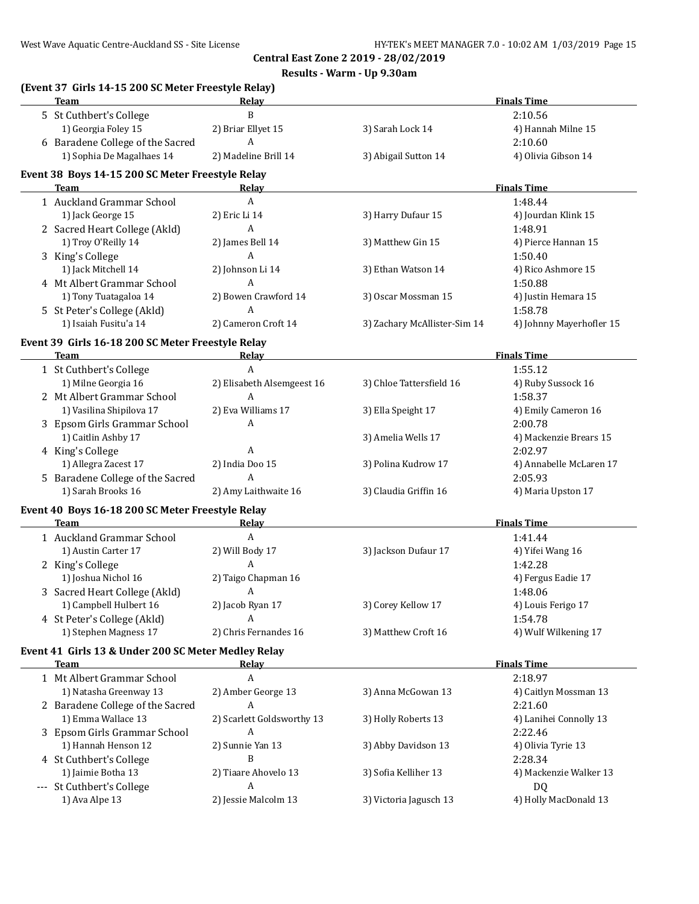**Results - Warm - Up 9.30am**

| (Event 37 Girls 14-15 200 SC Meter Freestyle Relay)<br><b>Team</b> | Relay                      |                              | <b>Finals Time</b>       |
|--------------------------------------------------------------------|----------------------------|------------------------------|--------------------------|
| 5 St Cuthbert's College                                            | B                          |                              | 2:10.56                  |
| 1) Georgia Foley 15                                                | 2) Briar Ellyet 15         | 3) Sarah Lock 14             | 4) Hannah Milne 15       |
| 6 Baradene College of the Sacred                                   | A                          |                              | 2:10.60                  |
| 1) Sophia De Magalhaes 14                                          | 2) Madeline Brill 14       | 3) Abigail Sutton 14         | 4) Olivia Gibson 14      |
| Event 38 Boys 14-15 200 SC Meter Freestyle Relay                   |                            |                              |                          |
| Team                                                               | Relay                      |                              | <b>Finals Time</b>       |
| 1 Auckland Grammar School                                          | A                          |                              | 1:48.44                  |
| 1) Jack George 15                                                  | 2) Eric Li 14              | 3) Harry Dufaur 15           | 4) Jourdan Klink 15      |
| 2 Sacred Heart College (Akld)                                      | A                          |                              | 1:48.91                  |
| 1) Troy O'Reilly 14                                                | 2) James Bell 14           | 3) Matthew Gin 15            | 4) Pierce Hannan 15      |
| 3 King's College                                                   | A                          |                              | 1:50.40                  |
| 1) Jack Mitchell 14                                                | 2) Johnson Li 14           | 3) Ethan Watson 14           | 4) Rico Ashmore 15       |
| 4 Mt Albert Grammar School                                         | A                          |                              | 1:50.88                  |
| 1) Tony Tuatagaloa 14                                              | 2) Bowen Crawford 14       | 3) Oscar Mossman 15          | 4) Justin Hemara 15      |
| 5 St Peter's College (Akld)                                        | A                          |                              | 1:58.78                  |
| 1) Isaiah Fusitu'a 14                                              | 2) Cameron Croft 14        | 3) Zachary McAllister-Sim 14 | 4) Johnny Mayerhofler 15 |
| Event 39 Girls 16-18 200 SC Meter Freestyle Relay                  |                            |                              |                          |
| <b>Team</b>                                                        | Relay                      |                              | <b>Finals Time</b>       |
| 1 St Cuthbert's College                                            | $\mathbf{A}$               |                              | 1:55.12                  |
| 1) Milne Georgia 16                                                | 2) Elisabeth Alsemgeest 16 | 3) Chloe Tattersfield 16     | 4) Ruby Sussock 16       |
| 2 Mt Albert Grammar School                                         | A                          |                              | 1:58.37                  |
| 1) Vasilina Shipilova 17                                           | 2) Eva Williams 17         | 3) Ella Speight 17           | 4) Emily Cameron 16      |
| 3 Epsom Girls Grammar School                                       | A                          |                              | 2:00.78                  |
| 1) Caitlin Ashby 17                                                |                            | 3) Amelia Wells 17           | 4) Mackenzie Brears 15   |
| 4 King's College                                                   | A                          |                              | 2:02.97                  |
| 1) Allegra Zacest 17                                               | 2) India Doo 15            | 3) Polina Kudrow 17          | 4) Annabelle McLaren 17  |
| 5 Baradene College of the Sacred                                   | A                          |                              | 2:05.93                  |
| 1) Sarah Brooks 16                                                 | 2) Amy Laithwaite 16       | 3) Claudia Griffin 16        | 4) Maria Upston 17       |
| Event 40 Boys 16-18 200 SC Meter Freestyle Relay                   |                            |                              |                          |
| <b>Team</b>                                                        | Relay                      |                              | <b>Finals Time</b>       |
| 1 Auckland Grammar School                                          | A                          |                              | 1:41.44                  |
| 1) Austin Carter 17                                                | 2) Will Body 17            | 3) Jackson Dufaur 17         | 4) Yifei Wang 16         |
| 2 King's College                                                   | A                          |                              | 1:42.28                  |
| 1) Joshua Nichol 16                                                | 2) Taigo Chapman 16        |                              | 4) Fergus Eadie 17       |
| 3 Sacred Heart College (Akld)                                      | A                          |                              | 1:48.06                  |
| 1) Campbell Hulbert 16                                             | 2) Jacob Ryan 17           | 3) Corey Kellow 17           | 4) Louis Ferigo 17       |
| 4 St Peter's College (Akld)                                        | A                          |                              | 1:54.78                  |
| 1) Stephen Magness 17                                              | 2) Chris Fernandes 16      | 3) Matthew Croft 16          | 4) Wulf Wilkening 17     |
| Event 41 Girls 13 & Under 200 SC Meter Medley Relay                |                            |                              |                          |
| <b>Team</b>                                                        | Relay                      |                              | <b>Finals Time</b>       |
| 1 Mt Albert Grammar School                                         | A                          |                              | 2:18.97                  |
| 1) Natasha Greenway 13                                             | 2) Amber George 13         | 3) Anna McGowan 13           | 4) Caitlyn Mossman 13    |
| 2 Baradene College of the Sacred                                   | A                          |                              | 2:21.60                  |
| 1) Emma Wallace 13                                                 | 2) Scarlett Goldsworthy 13 | 3) Holly Roberts 13          | 4) Lanihei Connolly 13   |
| 3 Epsom Girls Grammar School                                       | A                          |                              | 2:22.46                  |
| 1) Hannah Henson 12                                                | 2) Sunnie Yan 13           | 3) Abby Davidson 13          | 4) Olivia Tyrie 13       |
| 4 St Cuthbert's College                                            | B                          |                              | 2:28.34                  |
| 1) Jaimie Botha 13                                                 | 2) Tiaare Ahovelo 13       | 3) Sofia Kelliher 13         | 4) Mackenzie Walker 13   |
| --- St Cuthbert's College                                          | A                          |                              | DQ                       |
| 1) Ava Alpe 13                                                     | 2) Jessie Malcolm 13       | 3) Victoria Jagusch 13       | 4) Holly MacDonald 13    |
|                                                                    |                            |                              |                          |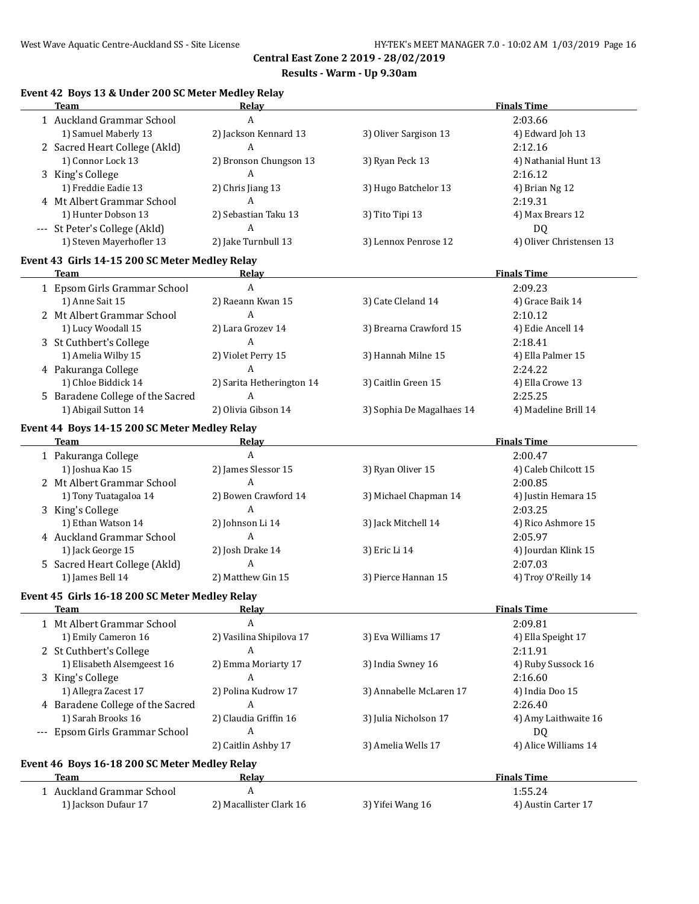# **Results - Warm - Up 9.30am**

# **Event 42 Boys 13 & Under 200 SC Meter Medley Relay**

| <b>Team</b>                                    | Relay                     |                           | <b>Finals Time</b>       |
|------------------------------------------------|---------------------------|---------------------------|--------------------------|
| 1 Auckland Grammar School                      | A                         |                           | 2:03.66                  |
| 1) Samuel Maberly 13                           | 2) Jackson Kennard 13     | 3) Oliver Sargison 13     | 4) Edward Joh 13         |
| 2 Sacred Heart College (Akld)                  | $\overline{A}$            |                           | 2:12.16                  |
| 1) Connor Lock 13                              | 2) Bronson Chungson 13    | 3) Ryan Peck 13           | 4) Nathanial Hunt 13     |
| 3 King's College                               | A                         |                           | 2:16.12                  |
| 1) Freddie Eadie 13                            | 2) Chris Jiang 13         | 3) Hugo Batchelor 13      | 4) Brian Ng 12           |
| 4 Mt Albert Grammar School                     | $\overline{A}$            |                           | 2:19.31                  |
| 1) Hunter Dobson 13                            | 2) Sebastian Taku 13      | 3) Tito Tipi 13           | 4) Max Brears 12         |
|                                                | A                         |                           |                          |
| --- St Peter's College (Akld)                  |                           |                           | <b>DQ</b>                |
| 1) Steven Mayerhofler 13                       | 2) Jake Turnbull 13       | 3) Lennox Penrose 12      | 4) Oliver Christensen 13 |
| Event 43 Girls 14-15 200 SC Meter Medley Relay |                           |                           |                          |
| <b>Team</b>                                    | Relay                     |                           | <b>Finals Time</b>       |
| 1 Epsom Girls Grammar School                   | $\overline{A}$            |                           | 2:09.23                  |
| 1) Anne Sait 15                                | 2) Raeann Kwan 15         | 3) Cate Cleland 14        | 4) Grace Baik 14         |
| 2 Mt Albert Grammar School                     | $\overline{A}$            |                           | 2:10.12                  |
| 1) Lucy Woodall 15                             | 2) Lara Grozev 14         | 3) Brearna Crawford 15    | 4) Edie Ancell 14        |
| 3 St Cuthbert's College                        | A                         |                           | 2:18.41                  |
| 1) Amelia Wilby 15                             | 2) Violet Perry 15        | 3) Hannah Milne 15        | 4) Ella Palmer 15        |
| 4 Pakuranga College                            | A                         |                           | 2:24.22                  |
| 1) Chloe Biddick 14                            | 2) Sarita Hetherington 14 | 3) Caitlin Green 15       | 4) Ella Crowe 13         |
| 5 Baradene College of the Sacred               | A                         |                           | 2:25.25                  |
| 1) Abigail Sutton 14                           | 2) Olivia Gibson 14       | 3) Sophia De Magalhaes 14 | 4) Madeline Brill 14     |
|                                                |                           |                           |                          |
| Event 44 Boys 14-15 200 SC Meter Medley Relay  |                           |                           |                          |
| <b>Team</b>                                    | Relay                     |                           | <b>Finals Time</b>       |
| 1 Pakuranga College                            | A                         |                           | 2:00.47                  |
| 1) Joshua Kao 15                               | 2) James Slessor 15       | 3) Ryan Oliver 15         | 4) Caleb Chilcott 15     |
| 2 Mt Albert Grammar School                     | A                         |                           | 2:00.85                  |
| 1) Tony Tuatagaloa 14                          | 2) Bowen Crawford 14      | 3) Michael Chapman 14     | 4) Justin Hemara 15      |
| 3 King's College                               | $\overline{A}$            |                           | 2:03.25                  |
| 1) Ethan Watson 14                             | 2) Johnson Li 14          | 3) Jack Mitchell 14       | 4) Rico Ashmore 15       |
| 4 Auckland Grammar School                      | $\overline{A}$            |                           | 2:05.97                  |
| 1) Jack George 15                              | 2) Josh Drake 14          | 3) Eric Li 14             | 4) Jourdan Klink 15      |
| 5 Sacred Heart College (Akld)                  | A                         |                           | 2:07.03                  |
| 1) James Bell 14                               | 2) Matthew Gin 15         | 3) Pierce Hannan 15       | 4) Troy O'Reilly 14      |
| Event 45 Girls 16-18 200 SC Meter Medley Relay |                           |                           |                          |
| Team                                           |                           |                           | <b>Finals Time</b>       |
| 1 Mt Albert Grammar School                     | A                         |                           | 2:09.81                  |
| 1) Emily Cameron 16                            | 2) Vasilina Shipilova 17  | 3) Eva Williams 17        | 4) Ella Speight 17       |
| 2 St Cuthbert's College                        | A                         |                           | 2:11.91                  |
| 1) Elisabeth Alsemgeest 16                     | 2) Emma Moriarty 17       | 3) India Swney 16         | 4) Ruby Sussock 16       |
| 3 King's College                               | A                         |                           | 2:16.60                  |
| 1) Allegra Zacest 17                           | 2) Polina Kudrow 17       | 3) Annabelle McLaren 17   | 4) India Doo 15          |
| 4 Baradene College of the Sacred               | A                         |                           | 2:26.40                  |
| 1) Sarah Brooks 16                             | 2) Claudia Griffin 16     | 3) Julia Nicholson 17     | 4) Amy Laithwaite 16     |
| --- Epsom Girls Grammar School                 | A                         |                           | DQ                       |
|                                                | 2) Caitlin Ashby 17       |                           | 4) Alice Williams 14     |
|                                                |                           | 3) Amelia Wells 17        |                          |
| Event 46 Boys 16-18 200 SC Meter Medley Relay  |                           |                           |                          |
| Team                                           | <u>Relay</u>              |                           | <b>Finals Time</b>       |
| 1 Auckland Grammar School                      | A                         |                           | 1:55.24                  |
| 1) Jackson Dufaur 17                           | 2) Macallister Clark 16   | 3) Yifei Wang 16          | 4) Austin Carter 17      |
|                                                |                           |                           |                          |